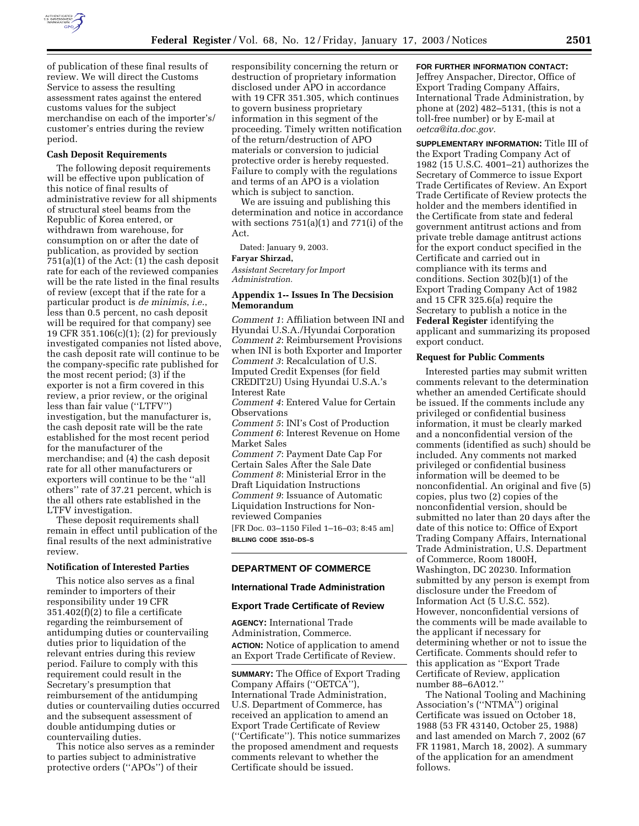

period.

of publication of these final results of review. We will direct the Customs Service to assess the resulting assessment rates against the entered customs values for the subject merchandise on each of the importer's/ customer's entries during the review

# **Cash Deposit Requirements**

The following deposit requirements will be effective upon publication of this notice of final results of administrative review for all shipments of structural steel beams from the Republic of Korea entered, or withdrawn from warehouse, for consumption on or after the date of publication, as provided by section 751(a)(1) of the Act: (1) the cash deposit rate for each of the reviewed companies will be the rate listed in the final results of review (except that if the rate for a particular product is *de minimis*, *i.e.*, less than 0.5 percent, no cash deposit will be required for that company) see 19 CFR 351.106(c)(1); (2) for previously investigated companies not listed above, the cash deposit rate will continue to be the company-specific rate published for the most recent period; (3) if the exporter is not a firm covered in this review, a prior review, or the original less than fair value (''LTFV'') investigation, but the manufacturer is, the cash deposit rate will be the rate established for the most recent period for the manufacturer of the merchandise; and (4) the cash deposit rate for all other manufacturers or exporters will continue to be the ''all others'' rate of 37.21 percent, which is the all others rate established in the LTFV investigation.

These deposit requirements shall remain in effect until publication of the final results of the next administrative review.

# **Notification of Interested Parties**

This notice also serves as a final reminder to importers of their responsibility under 19 CFR 351.402(f)(2) to file a certificate regarding the reimbursement of antidumping duties or countervailing duties prior to liquidation of the relevant entries during this review period. Failure to comply with this requirement could result in the Secretary's presumption that reimbursement of the antidumping duties or countervailing duties occurred and the subsequent assessment of double antidumping duties or countervailing duties.

This notice also serves as a reminder to parties subject to administrative protective orders (''APOs'') of their

responsibility concerning the return or destruction of proprietary information disclosed under APO in accordance with 19 CFR 351.305, which continues to govern business proprietary information in this segment of the proceeding. Timely written notification of the return/destruction of APO materials or conversion to judicial protective order is hereby requested. Failure to comply with the regulations and terms of an APO is a violation which is subject to sanction.

We are issuing and publishing this determination and notice in accordance with sections 751(a)(1) and 771(i) of the Act.

Dated: January 9, 2003.

#### **Faryar Shirzad,**

*Assistant Secretary for Import Administration.*

# **Appendix 1-- Issues In The Decsision Memorandum**

*Comment 1*: Affiliation between INI and Hyundai U.S.A./Hyundai Corporation *Comment 2*: Reimbursement Provisions when INI is both Exporter and Importer *Comment 3*: Recalculation of U.S. Imputed Credit Expenses (for field CREDIT2U) Using Hyundai U.S.A.'s Interest Rate *Comment 4*: Entered Value for Certain Observations *Comment 5*: INI's Cost of Production *Comment 6*: Interest Revenue on Home Market Sales *Comment 7*: Payment Date Cap For Certain Sales After the Sale Date *Comment 8*: Ministerial Error in the Draft Liquidation Instructions *Comment 9*: Issuance of Automatic Liquidation Instructions for Nonreviewed Companies

[FR Doc. 03–1150 Filed 1–16–03; 8:45 am] **BILLING CODE 3510–DS–S**

# **DEPARTMENT OF COMMERCE**

# **International Trade Administration**

#### **Export Trade Certificate of Review**

**AGENCY:** International Trade Administration, Commerce. **ACTION:** Notice of application to amend an Export Trade Certificate of Review.

**SUMMARY:** The Office of Export Trading Company Affairs (''OETCA''), International Trade Administration, U.S. Department of Commerce, has received an application to amend an Export Trade Certificate of Review (''Certificate''). This notice summarizes the proposed amendment and requests comments relevant to whether the Certificate should be issued.

# **FOR FURTHER INFORMATION CONTACT:**

Jeffrey Anspacher, Director, Office of Export Trading Company Affairs, International Trade Administration, by phone at (202) 482–5131, (this is not a toll-free number) or by E-mail at *oetca@ita.doc.gov.*

**SUPPLEMENTARY INFORMATION:** Title III of the Export Trading Company Act of 1982 (15 U.S.C. 4001–21) authorizes the Secretary of Commerce to issue Export Trade Certificates of Review. An Export Trade Certificate of Review protects the holder and the members identified in the Certificate from state and federal government antitrust actions and from private treble damage antitrust actions for the export conduct specified in the Certificate and carried out in compliance with its terms and conditions. Section 302(b)(1) of the Export Trading Company Act of 1982 and 15 CFR 325.6(a) require the Secretary to publish a notice in the **Federal Register** identifying the applicant and summarizing its proposed export conduct.

#### **Request for Public Comments**

Interested parties may submit written comments relevant to the determination whether an amended Certificate should be issued. If the comments include any privileged or confidential business information, it must be clearly marked and a nonconfidential version of the comments (identified as such) should be included. Any comments not marked privileged or confidential business information will be deemed to be nonconfidential. An original and five (5) copies, plus two (2) copies of the nonconfidential version, should be submitted no later than 20 days after the date of this notice to: Office of Export Trading Company Affairs, International Trade Administration, U.S. Department of Commerce, Room 1800H, Washington, DC 20230. Information submitted by any person is exempt from disclosure under the Freedom of Information Act (5 U.S.C. 552). However, nonconfidential versions of the comments will be made available to the applicant if necessary for determining whether or not to issue the Certificate. Comments should refer to this application as ''Export Trade Certificate of Review, application number 88–6A012.''

The National Tooling and Machining Association's (''NTMA'') original Certificate was issued on October 18, 1988 (53 FR 43140, October 25, 1988) and last amended on March 7, 2002 (67 FR 11981, March 18, 2002). A summary of the application for an amendment follows.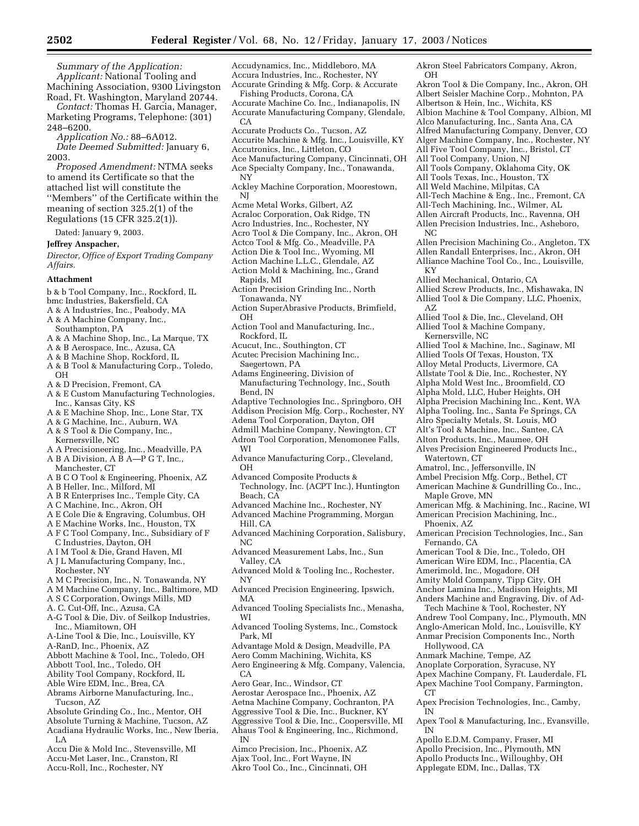*Summary of the Application: Applicant:* National Tooling and Machining Association, 9300 Livingston Road, Ft. Washington, Maryland 20744.

*Contact:* Thomas H. Garcia, Manager, Marketing Programs, Telephone: (301) 248–6200.

*Application No.:* 88–6A012. *Date Deemed Submitted:* January 6, 2003.

*Proposed Amendment:* NTMA seeks to amend its Certificate so that the attached list will constitute the ''Members'' of the Certificate within the meaning of section 325.2(1) of the Regulations (15 CFR 325.2(1)).

Dated: January 9, 2003.

#### **Jeffrey Anspacher,**

*Director, Office of Export Trading Company Affairs.*

#### **Attachment**

- b & b Tool Company, Inc., Rockford, IL
- bmc Industries, Bakersfield, CA
- A & A Industries, Inc., Peabody, MA
- A & A Machine Company, Inc.,
- Southampton, PA
- A & A Machine Shop, Inc., La Marque, TX
- A & B Aerospace, Inc., Azusa, CA
- A & B Machine Shop, Rockford, IL
- A & B Tool & Manufacturing Corp., Toledo, OH
- A & D Precision, Fremont, CA
- A & E Custom Manufacturing Technologies, Inc., Kansas City, KS
- A & E Machine Shop, Inc., Lone Star, TX
- A & G Machine, Inc., Auburn, WA
- A & S Tool & Die Company, Inc., Kernersville, NC
- A A Precisioneering, Inc., Meadville, PA
- A B A Division, A B A—P G T, Inc., Manchester, CT
- A B C O Tool & Engineering, Phoenix, AZ
- A B Heller, Inc., Milford, MI
- A B R Enterprises Inc., Temple City, CA
- A C Machine, Inc., Akron, OH
- A E Cole Die & Engraving, Columbus, OH
- A E Machine Works, Inc., Houston, TX
- A F C Tool Company, Inc., Subsidiary of F C Industries, Dayton, OH
- A I M Tool & Die, Grand Haven, MI
- A J L Manufacturing Company, Inc., Rochester, NY
- A M C Precision, Inc., N. Tonawanda, NY
- A M Machine Company, Inc., Baltimore, MD
- A S C Corporation, Owings Mills, MD
- A. C. Cut-Off, Inc., Azusa, CA
- A-G Tool & Die, Div. of Seilkop Industries, Inc., Miamitown, OH
- A-Line Tool & Die, Inc., Louisville, KY
- A-RanD, Inc., Phoenix, AZ
- Abbott Machine & Tool, Inc., Toledo, OH
- Abbott Tool, Inc., Toledo, OH
- Ability Tool Company, Rockford, IL
- Able Wire EDM, Inc., Brea, CA
- Abrams Airborne Manufacturing, Inc., Tucson, AZ
- Absolute Grinding Co., Inc., Mentor, OH
- Absolute Turning & Machine, Tucson, AZ
- Acadiana Hydraulic Works, Inc., New Iberia, LA
- Accu Die & Mold Inc., Stevensville, MI Accu-Met Laser, Inc., Cranston, RI
- Accu-Roll, Inc., Rochester, NY
- Accudynamics, Inc., Middleboro, MA Accura Industries, Inc., Rochester, NY Accurate Grinding & Mfg. Corp. & Accurate Fishing Products, Corona, CA
- Accurate Machine Co. Inc., Indianapolis, IN Accurate Manufacturing Company, Glendale, CA
- Accurate Products Co., Tucson, AZ
- Accurite Machine & Mfg. Inc., Louisville, KY
- Accutronics, Inc., Littleton, CO
- Ace Manufacturing Company, Cincinnati, OH Ace Specialty Company, Inc., Tonawanda,
- NY
- Ackley Machine Corporation, Moorestown, NJ
- Acme Metal Works, Gilbert, AZ
- Acraloc Corporation, Oak Ridge, TN
- Acro Industries, Inc., Rochester, NY
- Acro Tool & Die Company, Inc., Akron, OH
- Actco Tool & Mfg. Co., Meadville, PA
- Action Die & Tool Inc., Wyoming, MI
- Action Machine L.L.C., Glendale, AZ
- Action Mold & Machining, Inc., Grand
- Rapids, MI
- Action Precision Grinding Inc., North Tonawanda, NY
- Action SuperAbrasive Products, Brimfield, OH
- Action Tool and Manufacturing, Inc., Rockford, IL
- Acucut, Inc., Southington, CT
- Acutec Precision Machining Inc., Saegertown, PA
- Adams Engineering, Division of Manufacturing Technology, Inc., South Bend, IN
- Adaptive Technologies Inc., Springboro, OH
- Addison Precision Mfg. Corp., Rochester, NY
- Adena Tool Corporation, Dayton, OH
- Admill Machine Company, Newington, CT
- Adron Tool Corporation, Menomonee Falls, WI
- Advance Manufacturing Corp., Cleveland, OH
- Advanced Composite Products &
- Technology, Inc. (ACPT Inc.), Huntington Beach, CA
- Advanced Machine Inc., Rochester, NY

Advanced Machine Programming, Morgan Hill, CA

- Advanced Machining Corporation, Salisbury, NC
- Advanced Measurement Labs, Inc., Sun Valley, CA
- Advanced Mold & Tooling Inc., Rochester, NY
- Advanced Precision Engineering, Ipswich, MA
- Advanced Tooling Specialists Inc., Menasha, WI
- Advanced Tooling Systems, Inc., Comstock Park, MI
- Advantage Mold & Design, Meadville, PA

Aero Comm Machining, Wichita, KS Aero Engineering & Mfg. Company, Valencia, CA

Aero Gear, Inc., Windsor, CT

Aerostar Aerospace Inc., Phoenix, AZ Aetna Machine Company, Cochranton, PA Aggressive Tool & Die, Inc., Buckner, KY Aggressive Tool & Die, Inc., Coopersville, MI Ahaus Tool & Engineering, Inc., Richmond, IN

- Aimco Precision, Inc., Phoenix, AZ Ajax Tool, Inc., Fort Wayne, IN
- Akro Tool Co., Inc., Cincinnati, OH

Akron Steel Fabricators Company, Akron, OH

Akron Tool & Die Company, Inc., Akron, OH Albert Seisler Machine Corp., Mohnton, PA Albertson & Hein, Inc., Wichita, KS Albion Machine & Tool Company, Albion, MI Alco Manufacturing, Inc., Santa Ana, CA Alfred Manufacturing Company, Denver, CO

Alger Machine Company, Inc., Rochester, NY

All Five Tool Company, Inc., Bristol, CT

All Tools Company, Oklahoma City, OK All Tools Texas, Inc., Houston, TX All Weld Machine, Milpitas, CA

All-Tech Machine & Eng., Inc., Fremont, CA All-Tech Machining, Inc., Wilmer, AL Allen Aircraft Products, Inc., Ravenna, OH Allen Precision Industries, Inc., Asheboro,

Allen Precision Machining Co., Angleton, TX Allen Randall Enterprises, Inc., Akron, OH Alliance Machine Tool Co., Inc., Louisville,

Allied Screw Products, Inc., Mishawaka, IN Allied Tool & Die Company, LLC, Phoenix,

Allied Tool & Die, Inc., Cleveland, OH Allied Tool & Machine Company,

Allied Tool & Machine, Inc., Saginaw, MI Allied Tools Of Texas, Houston, TX Alloy Metal Products, Livermore, CA Allstate Tool & Die, Inc., Rochester, NY Alpha Mold West Inc., Broomfield, CO Alpha Mold, LLC, Huber Heights, OH Alpha Precision Machining Inc., Kent, WA Alpha Tooling, Inc., Santa Fe Springs, CA Alro Specialty Metals, St. Louis, MO Alt's Tool & Machine, Inc., Santee, CA Alton Products, Inc., Maumee, OH Alves Precision Engineered Products Inc.,

All Tool Company, Union, NJ

Allied Mechanical, Ontario, CA

NC

KY

AZ

Kernersville, NC

Watertown, CT

Maple Grove, MN

Phoenix, AZ

Fernando, CA

Hollywood, CA

 $CT$ 

IN

IN

Anmark Machine, Tempe, AZ Anoplate Corporation, Syracuse, NY Apex Machine Company, Ft. Lauderdale, FL Apex Machine Tool Company, Farmington,

Apex Precision Technologies, Inc., Camby,

Apollo E.D.M. Company, Fraser, MI Apollo Precision, Inc., Plymouth, MN Apollo Products Inc., Willoughby, OH Applegate EDM, Inc., Dallas, TX

Apex Tool & Manufacturing, Inc., Evansville,

Amatrol, Inc., Jeffersonville, IN Ambel Precision Mfg. Corp., Bethel, CT American Machine & Gundrilling Co., Inc.,

American Mfg. & Machining, Inc., Racine, WI American Precision Machining, Inc.,

American Precision Technologies, Inc., San

American Tool & Die, Inc., Toledo, OH American Wire EDM, Inc., Placentia, CA Amerimold, Inc., Mogadore, OH Amity Mold Company, Tipp City, OH Anchor Lamina Inc., Madison Heights, MI Anders Machine and Engraving, Div. of Ad-Tech Machine & Tool, Rochester, NY Andrew Tool Company, Inc., Plymouth, MN Anglo-American Mold, Inc., Louisville, KY Anmar Precision Components Inc., North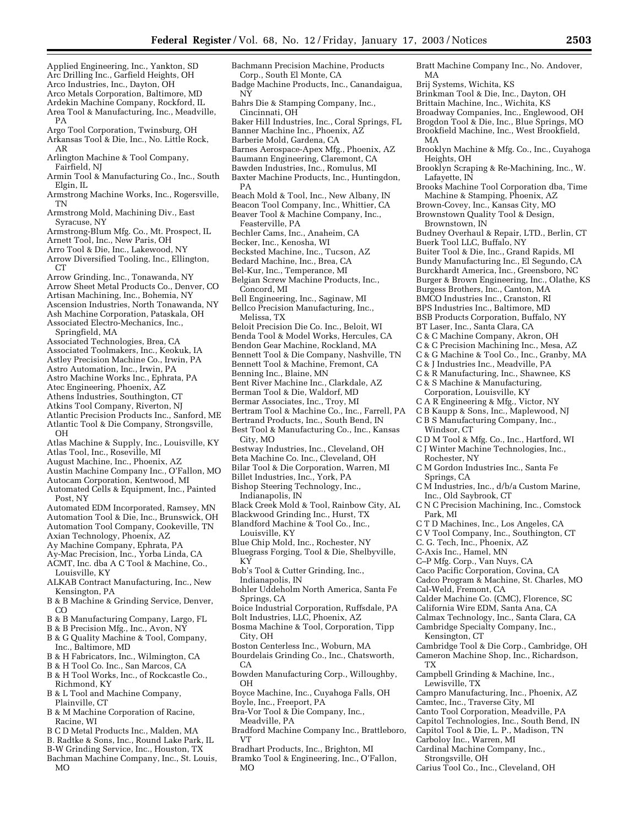Applied Engineering, Inc., Yankton, SD Arc Drilling Inc., Garfield Heights, OH Arco Industries, Inc., Dayton, OH Arco Metals Corporation, Baltimore, MD Ardekin Machine Company, Rockford, IL Area Tool & Manufacturing, Inc., Meadville, Argo Tool Corporation, Twinsburg, OH Arkansas Tool & Die, Inc., No. Little Rock, Arlington Machine & Tool Company, Fairfield, NJ Armin Tool & Manufacturing Co., Inc., South Armstrong Machine Works, Inc., Rogersville, Armstrong Mold, Machining Div., East Syracuse, NY Armstrong-Blum Mfg. Co., Mt. Prospect, IL Arnett Tool, Inc., New Paris, OH Arro Tool & Die, Inc., Lakewood, NY Arrow Diversified Tooling, Inc., Ellington, Arrow Grinding, Inc., Tonawanda, NY Arrow Sheet Metal Products Co., Denver, CO Artisan Machining, Inc., Bohemia, NY Ascension Industries, North Tonawanda, NY Ash Machine Corporation, Pataskala, OH Associated Electro-Mechanics, Inc., Springfield, MA Associated Technologies, Brea, CA Associated Toolmakers, Inc., Keokuk, IA Astley Precision Machine Co., Irwin, PA Astro Automation, Inc., Irwin, PA Astro Machine Works Inc., Ephrata, PA Atec Engineering, Phoenix, AZ Athens Industries, Southington, CT Atkins Tool Company, Riverton, NJ Atlantic Precision Products Inc., Sanford, ME Atlantic Tool & Die Company, Strongsville, Atlas Machine & Supply, Inc., Louisville, KY Atlas Tool, Inc., Roseville, MI August Machine, Inc., Phoenix, AZ Austin Machine Company Inc., O'Fallon, MO Autocam Corporation, Kentwood, MI Automated Cells & Equipment, Inc., Painted Automated EDM Incorporated, Ramsey, MN Automation Tool & Die, Inc., Brunswick, OH Automation Tool Company, Cookeville, TN Axian Technology, Phoenix, AZ Ay Machine Company, Ephrata, PA Ay-Mac Precision, Inc., Yorba Linda, CA ACMT, Inc. dba A C Tool & Machine, Co., Louisville, KY ALKAB Contract Manufacturing, Inc., New Kensington, PA B & B Machine & Grinding Service, Denver, B & B Manufacturing Company, Largo, FL B & B Precision Mfg., Inc., Avon, NY B & G Quality Machine & Tool, Company, Inc., Baltimore, MD B & H Fabricators, Inc., Wilmington, CA B & H Tool Co. Inc., San Marcos, CA B & H Tool Works, Inc., of Rockcastle Co., Richmond, KY B & L Tool and Machine Company, Plainville, CT B & M Machine Corporation of Racine, Racine, WI B C D Metal Products Inc., Malden, MA B. Radtke & Sons, Inc., Round Lake Park, IL B-W Grinding Service, Inc., Houston, TX NY Cincinnati, OH Barberie Mold, Gardena, CA PA Feasterville, PA Becker, Inc., Kenosha, WI Bel-Kur, Inc., Temperance, MI Concord, MI Melissa, TX Benning Inc., Blaine, MN City, MO Indianapolis, IN Louisville, KY KY Indianapolis, IN Springs, CA City, OH  $CA$ OH Boyle, Inc., Freeport, PA Meadville, PA VT

Bachman Machine Company, Inc., St. Louis, MO

PA

AR

TN

CT<sub>1</sub>

OH

Post, NY

CO

Elgin, IL

Bachmann Precision Machine, Products Corp., South El Monte, CA Badge Machine Products, Inc., Canandaigua, Bahrs Die & Stamping Company, Inc., Baker Hill Industries, Inc., Coral Springs, FL Banner Machine Inc., Phoenix, AZ Barnes Aerospace-Apex Mfg., Phoenix, AZ Baumann Engineering, Claremont, CA Bawden Industries, Inc., Romulus, MI Baxter Machine Products, Inc., Huntingdon, Beach Mold & Tool, Inc., New Albany, IN Beacon Tool Company, Inc., Whittier, CA Beaver Tool & Machine Company, Inc., Bechler Cams, Inc., Anaheim, CA Becksted Machine, Inc., Tucson, AZ Bedard Machine, Inc., Brea, CA Belgian Screw Machine Products, Inc., Bell Engineering, Inc., Saginaw, MI Beloit Precision Die Co. Inc., Beloit, WI Bennett Tool & Die Company, Nashville, TN Bennett Tool & Machine, Fremont, CA Bertram Tool & Machine Co., Inc., Farrell, PA Bestway Industries, Inc., Cleveland, OH Beta Machine Co. Inc., Cleveland, OH Bilar Tool & Die Corporation, Warren, MI Billet Industries, Inc., York, PA Blackwood Grinding Inc., Hurst, TX Blandford Machine & Tool Co., Inc., Blue Chip Mold, Inc., Rochester, NY Bluegrass Forging, Tool & Die, Shelbyville, Bob's Tool & Cutter Grinding, Inc., Bohler Uddeholm North America, Santa Fe Boice Industrial Corporation, Ruffsdale, PA Bolt Industries, LLC, Phoenix, AZ Bosma Machine & Tool, Corporation, Tipp Boston Centerless Inc., Woburn, MA Bourdelais Grinding Co., Inc., Chatsworth, Bowden Manufacturing Corp., Willoughby, Boyce Machine, Inc., Cuyahoga Falls, OH Bra-Vor Tool & Die Company, Inc., Bratt Machine Company Inc., No. Andover, MA Brij Systems, Wichita, KS Brinkman Tool & Die, Inc., Dayton, OH Brittain Machine, Inc., Wichita, KS Broadway Companies, Inc., Englewood, OH Brogdon Tool & Die, Inc., Blue Springs, MO Brookfield Machine, Inc., West Brookfield, MA Brooklyn Machine & Mfg. Co., Inc., Cuyahoga Heights, OH Brooklyn Scraping & Re-Machining, Inc., W. TX

- Bradford Machine Company Inc., Brattleboro,
- Bradhart Products, Inc., Brighton, MI
- Bramko Tool & Engineering, Inc., O'Fallon, MO

Lafayette, IN Brooks Machine Tool Corporation dba, Time Machine & Stamping, Phoenix, AZ Brown-Covey, Inc., Kansas City, MO Brownstown Quality Tool & Design, Brownstown, IN Budney Overhaul & Repair, LTD., Berlin, CT Buerk Tool LLC, Buffalo, NY Buiter Tool & Die, Inc., Grand Rapids, MI Bundy Manufacturing Inc., El Segundo, CA Burckhardt America, Inc., Greensboro, NC Burger & Brown Engineering, Inc., Olathe, KS Burgess Brothers, Inc., Canton, MA BMCO Industries Inc., Cranston, RI BPS Industries Inc., Baltimore, MD BSB Products Corporation, Buffalo, NY BT Laser, Inc., Santa Clara, CA C & C Machine Company, Akron, OH C & C Precision Machining Inc., Mesa, AZ C & G Machine & Tool Co., Inc., Granby, MA C & J Industries Inc., Meadville, PA C & R Manufacturing, Inc., Shawnee, KS C & S Machine & Manufacturing, Corporation, Louisville, KY C A R Engineering & Mfg., Victor, NY C B Kaupp & Sons, Inc., Maplewood, NJ C B S Manufacturing Company, Inc., Windsor, CT C D M Tool & Mfg. Co., Inc., Hartford, WI C J Winter Machine Technologies, Inc., Rochester, NY C M Gordon Industries Inc., Santa Fe Springs, CA C M Industries, Inc., d/b/a Custom Marine, Inc., Old Saybrook, CT C N C Precision Machining, Inc., Comstock Park, MI C T D Machines, Inc., Los Angeles, CA C V Tool Company, Inc., Southington, CT C. G. Tech, Inc., Phoenix, AZ C-Axis Inc., Hamel, MN C–P Mfg. Corp., Van Nuys, CA Caco Pacific Corporation, Covina, CA Cadco Program & Machine, St. Charles, MO Cal-Weld, Fremont, CA Calder Machine Co. (CMC), Florence, SC California Wire EDM, Santa Ana, CA Calmax Technology, Inc., Santa Clara, CA Cambridge Specialty Company, Inc., Kensington, CT Cambridge Tool & Die Corp., Cambridge, OH Cameron Machine Shop, Inc., Richardson,

Campbell Grinding & Machine, Inc., Lewisville, TX

- Campro Manufacturing, Inc., Phoenix, AZ
- Camtec, Inc., Traverse City, MI
- Canto Tool Corporation, Meadville, PA
- Capitol Technologies, Inc., South Bend, IN
- Capitol Tool & Die, L. P., Madison, TN
- Carboloy Inc., Warren, MI
- 
- Cardinal Machine Company, Inc.,
- Strongsville, OH
- Carius Tool Co., Inc., Cleveland, OH
- 
- Bellco Precision Manufacturing, Inc.,
- 
- Benda Tool & Model Works, Hercules, CA
- Bendon Gear Machine, Rockland, MA
- 
- 
- 
- Bent River Machine Inc., Clarkdale, AZ
- Berman Tool & Die, Waldorf, MD
- Bermar Associates, Inc., Troy, MI
- 

Bertrand Products, Inc., South Bend, IN Best Tool & Manufacturing Co., Inc., Kansas

- 
- 
- 
- 

Bishop Steering Technology, Inc.,

Black Creek Mold & Tool, Rainbow City, AL

- 
- 
- 
- 
- 
- 
- 
- 
- 
- 

- 
- 
-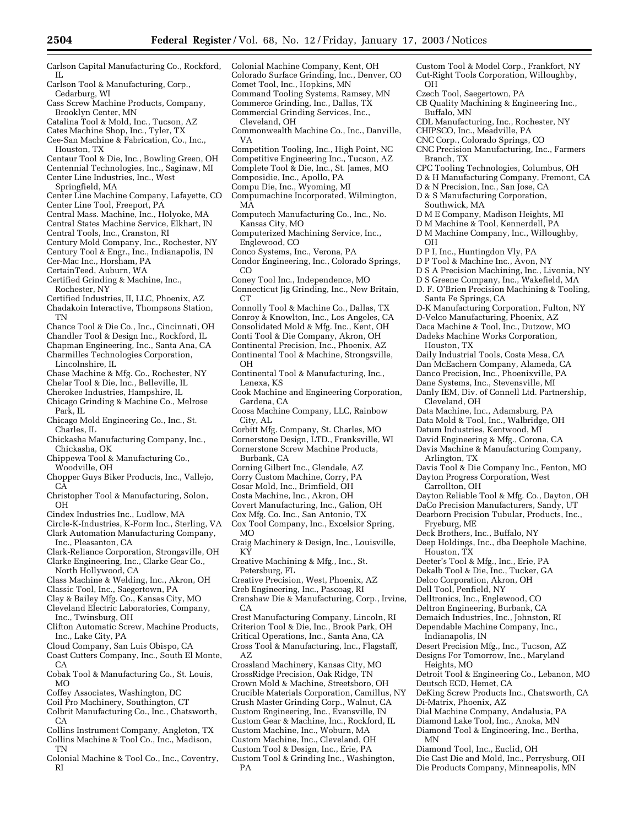Colonial Machine Company, Kent, OH

- Carlson Capital Manufacturing Co., Rockford, IL Carlson Tool & Manufacturing, Corp.,
- Cedarburg, WI Cass Screw Machine Products, Company,
- Brooklyn Center, MN
- Catalina Tool & Mold, Inc., Tucson, AZ
- Cates Machine Shop, Inc., Tyler, TX Cee-San Machine & Fabrication, Co., Inc.,
- Houston, TX
- Centaur Tool & Die, Inc., Bowling Green, OH Centennial Technologies, Inc., Saginaw, MI
- Center Line Industries, Inc., West Springfield, MA
- Center Line Machine Company, Lafayette, CO
- Center Line Tool, Freeport, PA
- Central Mass. Machine, Inc., Holyoke, MA
- Central States Machine Service, Elkhart, IN
- Central Tools, Inc., Cranston, RI
- Century Mold Company, Inc., Rochester, NY
- Century Tool & Engr., Inc., Indianapolis, IN
- Cer-Mac Inc., Horsham, PA CertainTeed, Auburn, WA
- 
- Certified Grinding & Machine, Inc., Rochester, NY
- Certified Industries, II, LLC, Phoenix, AZ
- Chadakoin Interactive, Thompsons Station, TN
- Chance Tool & Die Co., Inc., Cincinnati, OH
- Chandler Tool & Design Inc., Rockford, IL
- Chapman Engineering, Inc., Santa Ana, CA
- Charmilles Technologies Corporation,
- Lincolnshire, IL
- Chase Machine & Mfg. Co., Rochester, NY
- Chelar Tool & Die, Inc., Belleville, IL
- Cherokee Industries, Hampshire, IL
- Chicago Grinding & Machine Co., Melrose Park, IL
- Chicago Mold Engineering Co., Inc., St. Charles, IL
- Chickasha Manufacturing Company, Inc., Chickasha, OK
- Chippewa Tool & Manufacturing Co., Woodville, OH
- Chopper Guys Biker Products, Inc., Vallejo, CA
- Christopher Tool & Manufacturing, Solon, OH
- Cindex Industries Inc., Ludlow, MA
- Circle-K-Industries, K-Form Inc., Sterling, VA Clark Automation Manufacturing Company, Inc., Pleasanton, CA
- 
- Clark-Reliance Corporation, Strongsville, OH Clarke Engineering, Inc., Clarke Gear Co., North Hollywood, CA
- Class Machine & Welding, Inc., Akron, OH
- Classic Tool, Inc., Saegertown, PA
- Clay & Bailey Mfg. Co., Kansas City, MO
- Cleveland Electric Laboratories, Company, Inc., Twinsburg, OH
- Clifton Automatic Screw, Machine Products, Inc., Lake City, PA
- Cloud Company, San Luis Obispo, CA
- Coast Cutters Company, Inc., South El Monte,  $CA$
- Cobak Tool & Manufacturing Co., St. Louis, MO
- Coffey Associates, Washington, DC
- Coil Pro Machinery, Southington, CT
- Colbrit Manufacturing Co., Inc., Chatsworth,  $CA$
- Collins Instrument Company, Angleton, TX Collins Machine & Tool Co., Inc., Madison,
- 
- **TN** Colonial Machine & Tool Co., Inc., Coventry, RI
- Colorado Surface Grinding, Inc., Denver, CO Comet Tool, Inc., Hopkins, MN Command Tooling Systems, Ramsey, MN Commerce Grinding, Inc., Dallas, TX Commercial Grinding Services, Inc., Cleveland, OH Commonwealth Machine Co., Inc., Danville, VA Competition Tooling, Inc., High Point, NC Competitive Engineering Inc., Tucson, AZ Complete Tool & Die, Inc., St. James, MO Composidie, Inc., Apollo, PA Compu Die, Inc., Wyoming, MI Compumachine Incorporated, Wilmington, MA Computech Manufacturing Co., Inc., No. Kansas City, MO Computerized Machining Service, Inc., Englewood, CO Conco Systems, Inc., Verona, PA Condor Engineering, Inc., Colorado Springs, CO Coney Tool Inc., Independence, MO Connecticut Jig Grinding, Inc., New Britain, CT<sub>1</sub> Connolly Tool & Machine Co., Dallas, TX Conroy & Knowlton, Inc., Los Angeles, CA Consolidated Mold & Mfg. Inc., Kent, OH Conti Tool & Die Company, Akron, OH Continental Precision, Inc., Phoenix, AZ Continental Tool & Machine, Strongsville, OH Continental Tool & Manufacturing, Inc., Lenexa, KS Cook Machine and Engineering Corporation, Gardena, CA Coosa Machine Company, LLC, Rainbow City, AL Corbitt Mfg. Company, St. Charles, MO Cornerstone Design, LTD., Franksville, WI Cornerstone Screw Machine Products, Burbank, CA Corning Gilbert Inc., Glendale, AZ Corry Custom Machine, Corry, PA Cosar Mold, Inc., Brimfield, OH Costa Machine, Inc., Akron, OH Covert Manufacturing, Inc., Galion, OH Cox Mfg. Co. Inc., San Antonio, TX Cox Tool Company, Inc., Excelsior Spring, MO Craig Machinery & Design, Inc., Louisville, KY Creative Machining & Mfg., Inc., St. Petersburg, FL Creative Precision, West, Phoenix, AZ Creb Engineering, Inc., Pascoag, RI Crenshaw Die & Manufacturing, Corp., Irvine, CA Crest Manufacturing Company, Lincoln, RI Criterion Tool & Die, Inc., Brook Park, OH Critical Operations, Inc., Santa Ana, CA Cross Tool & Manufacturing, Inc., Flagstaff, OH OH Dekalb Tool & Die, Inc., Tucker, GA Delco Corporation, Akron, OH Dell Tool, Penfield, NY Delltronics, Inc., Englewood, CO Deltron Engineering, Burbank, CA Demaich Industries, Inc., Johnston, RI
	- Dependable Machine Company, Inc., Indianapolis, IN Desert Precision Mfg., Inc., Tucson, AZ Designs For Tomorrow, Inc., Maryland Heights, MO

MN

Crossland Machinery, Kansas City, MO CrossRidge Precision, Oak Ridge, TN Crown Mold & Machine, Streetsboro, OH Crucible Materials Corporation, Camillus, NY Crush Master Grinding Corp., Walnut, CA Custom Engineering, Inc., Evansville, IN Custom Gear & Machine, Inc., Rockford, IL Custom Machine, Inc., Woburn, MA Custom Machine, Inc., Cleveland, OH Custom Tool & Design, Inc., Erie, PA Custom Tool & Grinding Inc., Washington, PA

AZ

- Custom Tool & Model Corp., Frankfort, NY Cut-Right Tools Corporation, Willoughby,
- Czech Tool, Saegertown, PA
- CB Quality Machining & Engineering Inc.,
- Buffalo, MN
- CDL Manufacturing, Inc., Rochester, NY
- CHIPSCO, Inc., Meadville, PA
- CNC Corp., Colorado Springs, CO
- CNC Precision Manufacturing, Inc., Farmers Branch, TX
- CPC Tooling Technologies, Columbus, OH
- D & H Manufacturing Company, Fremont, CA
- D & N Precision, Inc., San Jose, CA
- D & S Manufacturing Corporation,
- Southwick, MA
- D M E Company, Madison Heights, MI
- D M Machine & Tool, Kennerdell, PA
- D M Machine Company, Inc., Willoughby,
- D P I, Inc., Huntingdon Vly, PA
	- D P Tool & Machine Inc., Avon, NY
- D S A Precision Machining, Inc., Livonia, NY
- D S Greene Company, Inc., Wakefield, MA
- D. F. O'Brien Precision Machining & Tooling, Santa Fe Springs, CA
- D-K Manufacturing Corporation, Fulton, NY
- D-Velco Manufacturing, Phoenix, AZ
- Daca Machine & Tool, Inc., Dutzow, MO
- Dadeks Machine Works Corporation,
	- Houston, TX
- Daily Industrial Tools, Costa Mesa, CA
- Dan McEachern Company, Alameda, CA
- Danco Precision, Inc., Phoenixville, PA
- Dane Systems, Inc., Stevensville, MI
- Danly IEM, Div. of Connell Ltd. Partnership, Cleveland, OH
- Data Machine, Inc., Adamsburg, PA
- Data Mold & Tool, Inc., Walbridge, OH
- Datum Industries, Kentwood, MI
- David Engineering & Mfg., Corona, CA
- Davis Machine & Manufacturing Company, Arlington, TX
- Davis Tool & Die Company Inc., Fenton, MO Dayton Progress Corporation, West
- Carrollton, OH
- Dayton Reliable Tool & Mfg. Co., Dayton, OH
- DaCo Precision Manufacturers, Sandy, UT
- Dearborn Precision Tubular, Products, Inc., Fryeburg, ME
- Deck Brothers, Inc., Buffalo, NY

Deutsch ECD, Hemet, CA

Di-Matrix, Phoenix, AZ

Deep Holdings, Inc., dba Deephole Machine, Houston, TX

Detroit Tool & Engineering Co., Lebanon, MO

DeKing Screw Products Inc., Chatsworth, CA

Die Cast Die and Mold, Inc., Perrysburg, OH Die Products Company, Minneapolis, MN

Dial Machine Company, Andalusia, PA Diamond Lake Tool, Inc., Anoka, MN Diamond Tool & Engineering, Inc., Bertha,

Diamond Tool, Inc., Euclid, OH

Deeter's Tool & Mfg., Inc., Erie, PA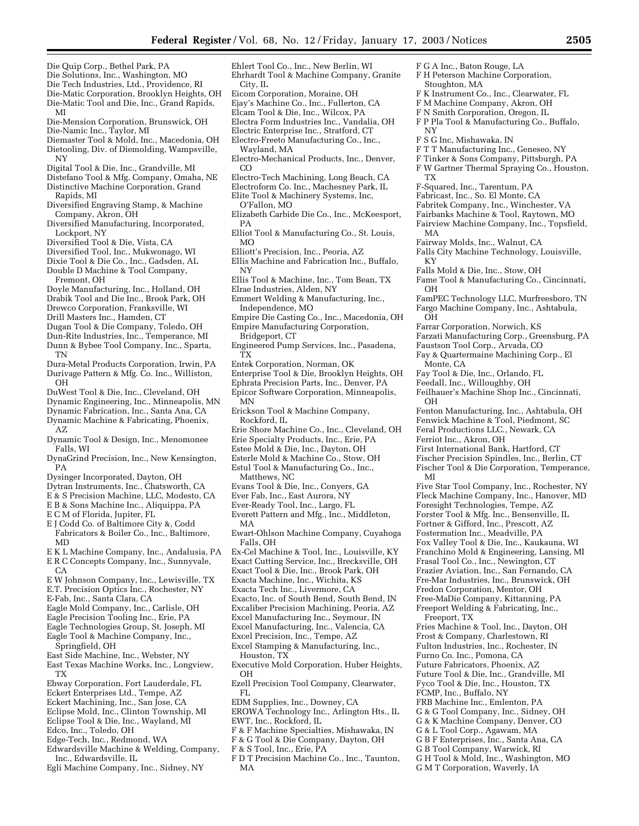Ehlert Tool Co., Inc., New Berlin, WI Ehrhardt Tool & Machine Company, Granite

Eicom Corporation, Moraine, OH

City, IL

F G A Inc., Baton Rouge, LA F H Peterson Machine Corporation,

F S G Inc, Mishawaka, IN

F-Squared, Inc., Tarentum, PA Fabricast, Inc., So. El Monte, CA Fabritek Company, Inc., Winchester, VA Fairbanks Machine & Tool, Raytown, MO Fairview Machine Company, Inc., Topsfield,

Fairway Molds, Inc., Walnut, CA

Falls Mold & Die, Inc., Stow, OH

Farrar Corporation, Norwich, KS

Faustson Tool Corp., Arvada, CO Fay & Quartermaine Machining Corp., El

Fay Tool & Die, Inc., Orlando, FL Feedall, Inc., Willoughby, OH

Falls City Machine Technology, Louisville,

Fame Tool & Manufacturing Co., Cincinnati,

FamPEC Technology LLC, Murfreesboro, TN Fargo Machine Company, Inc., Ashtabula,

Farzati Manufacturing Corp., Greensburg, PA

Feilhauer's Machine Shop Inc., Cincinnati,

Fenton Manufacturing, Inc., Ashtabula, OH Fenwick Machine & Tool, Piedmont, SC Feral Productions LLC., Newark, CA

Five Star Tool Company, Inc., Rochester, NY Fleck Machine Company, Inc., Hanover, MD Foresight Technologies, Tempe, AZ Forster Tool & Mfg. Inc., Bensenville, IL Fortner & Gifford, Inc., Prescott, AZ Fostermation Inc., Meadville, PA Fox Valley Tool & Die, Inc., Kaukauna, WI Franchino Mold & Engineering, Lansing, MI Frasal Tool Co., Inc., Newington, CT Frazier Aviation, Inc., San Fernando, CA Fre-Mar Industries, Inc., Brunswick, OH Fredon Corporation, Mentor, OH Free-MaDie Company, Kittanning, PA Freeport Welding & Fabricating, Inc.,

Fries Machine & Tool, Inc., Dayton, OH Frost & Company, Charlestown, RI Fulton Industries, Inc., Rochester, IN Furno Co. Inc., Pomona, CA Future Fabricators, Phoenix, AZ Future Tool & Die, Inc., Grandville, MI Fyco Tool & Die, Inc., Houston, TX

First International Bank, Hartford, CT Fischer Precision Spindles, Inc., Berlin, CT Fischer Tool & Die Corporation, Temperance,

F K Instrument Co., Inc., Clearwater, FL F M Machine Company, Akron, OH F N Smith Corporation, Oregon, IL F P Pla Tool & Manufacturing Co., Buffalo,

F T T Manufacturing Inc., Geneseo, NY F Tinker & Sons Company, Pittsburgh, PA F W Gartner Thermal Spraying Co., Houston,

Stoughton, MA

NY

TX

MA

KY

OH

**OH** 

OH

MI

Monte, CA

Ferriot Inc., Akron, OH

Freeport, TX

FCMP, Inc., Buffalo, NY FRB Machine Inc., Emlenton, PA G & G Tool Company, Inc., Sidney, OH G & K Machine Company, Denver, CO G & L Tool Corp., Agawam, MA G B F Enterprises, Inc., Santa Ana, CA G B Tool Company, Warwick, RI G H Tool & Mold, Inc., Washington, MO G M T Corporation, Waverly, IA

- Die Quip Corp., Bethel Park, PA
- Die Solutions, Inc., Washington, MO
- Die Tech Industries, Ltd., Providence, RI
- Die-Matic Corporation, Brooklyn Heights, OH
- Die-Matic Tool and Die, Inc., Grand Rapids, MI
- Die-Mension Corporation, Brunswick, OH
- Die-Namic Inc., Taylor, MI
- Diemaster Tool & Mold, Inc., Macedonia, OH Dietooling, Div. of Diemolding, Wampsville, NY
- Digital Tool & Die, Inc., Grandville, MI
- Distefano Tool & Mfg. Company, Omaha, NE
- Distinctive Machine Corporation, Grand Rapids, MI
- Diversified Engraving Stamp, & Machine Company, Akron, OH
- Diversified Manufacturing, Incorporated, Lockport, NY
- Diversified Tool & Die, Vista, CA
- Diversified Tool, Inc., Mukwonago, WI
- Dixie Tool & Die Co., Inc., Gadsden, AL
- Double D Machine & Tool Company, Fremont, OH
- Doyle Manufacturing, Inc., Holland, OH
- Drabik Tool and Die Inc., Brook Park, OH
- Drewco Corporation, Franksville, WI
- Drill Masters Inc., Hamden, CT
- Dugan Tool & Die Company, Toledo, OH
- Dun-Rite Industries, Inc., Temperance, MI
- Dunn & Bybee Tool Company, Inc., Sparta, TN
- Dura-Metal Products Corporation, Irwin, PA Durivage Pattern & Mfg. Co. Inc., Williston, **OH**
- DuWest Tool & Die, Inc., Cleveland, OH
- Dynamic Engineering, Inc., Minneapolis, MN
- Dynamic Fabrication, Inc., Santa Ana, CA Dynamic Machine & Fabricating, Phoenix,
- AZ Dynamic Tool & Design, Inc., Menomonee
- Falls, WI DynaGrind Precision, Inc., New Kensington,
- PA
- Dysinger Incorporated, Dayton, OH
- Dytran Instruments, Inc., Chatsworth, CA
- E & S Precision Machine, LLC, Modesto, CA E B & Sons Machine Inc., Aliquippa, PA
- 
- E C M of Florida, Jupiter, FL
- E J Codd Co. of Baltimore City &, Codd Fabricators & Boiler Co., Inc., Baltimore, MD
- E K L Machine Company, Inc., Andalusia, PA
- E R C Concepts Company, Inc., Sunnyvale,  $CA$
- E W Johnson Company, Inc., Lewisville, TX
- E.T. Precision Optics Inc., Rochester, NY
- E-Fab, Inc., Santa Clara, CA
- Eagle Mold Company, Inc., Carlisle, OH
- Eagle Precision Tooling Inc., Erie, PA
- Eagle Technologies Group, St. Joseph, MI Eagle Tool & Machine Company, Inc., Springfield, OH
- East Side Machine, Inc., Webster, NY
- East Texas Machine Works, Inc., Longview, TX
- Ebway Corporation, Fort Lauderdale, FL
- Eckert Enterprises Ltd., Tempe, AZ
- Eckert Machining, Inc., San Jose, CA
- Eclipse Mold, Inc., Clinton Township, MI
- Eclipse Tool & Die, Inc., Wayland, MI Edco, Inc., Toledo, OH
- 
- Edge-Tech, Inc., Redmond, WA
- Edwardsville Machine & Welding, Company, Inc., Edwardsville, IL
- Egli Machine Company, Inc., Sidney, NY
- Ejay's Machine Co., Inc., Fullerton, CA Elcam Tool & Die, Inc., Wilcox, PA Electra Form Industries Inc., Vandalia, OH Electric Enterprise Inc., Stratford, CT Electro-Freeto Manufacturing Co., Inc., Wayland, MA Electro-Mechanical Products, Inc., Denver, CO Electro-Tech Machining, Long Beach, CA Electroform Co. Inc., Machesney Park, IL Elite Tool & Machinery Systems, Inc, O'Fallon, MO
- Elizabeth Carbide Die Co., Inc., McKeesport, PA
- Elliot Tool & Manufacturing Co., St. Louis, MO
- Elliott's Precision, Inc., Peoria, AZ
- Ellis Machine and Fabrication Inc., Buffalo, NY
- Ellis Tool & Machine, Inc., Tom Bean, TX
- Elrae Industries, Alden, NY
- Emmert Welding & Manufacturing, Inc., Independence, MO
- Empire Die Casting Co., Inc., Macedonia, OH Empire Manufacturing Corporation,
- Bridgeport, CT
- Engineered Pump Services, Inc., Pasadena, TX
- Entek Corporation, Norman, OK
- Enterprise Tool & Die, Brooklyn Heights, OH
- Ephrata Precision Parts, Inc., Denver, PA
- Epicor Software Corporation, Minneapolis,
- MN
- Erickson Tool & Machine Company, Rockford, IL
- Erie Shore Machine Co., Inc., Cleveland, OH
- Erie Specialty Products, Inc., Erie, PA
- Estee Mold & Die, Inc., Dayton, OH
- Esterle Mold & Machine Co., Stow, OH
- Estul Tool & Manufacturing Co., Inc.,
- Matthews, NC
- Evans Tool & Die, Inc., Conyers, GA
- Ever Fab, Inc., East Aurora, NY
- Ever-Ready Tool, Inc., Largo, FL

Everett Pattern and Mfg., Inc., Middleton, MA

- Ewart-Ohlson Machine Company, Cuyahoga Falls, OH
- Ex-Cel Machine & Tool, Inc., Louisville, KY
- Exact Cutting Service, Inc., Brecksville, OH
- Exact Tool & Die, Inc., Brook Park, OH Exacta Machine, Inc., Wichita, KS
- Exacta Tech Inc., Livermore, CA
- Exacto, Inc. of South Bend, South Bend, IN
- Excaliber Precision Machining, Peoria, AZ
- Excel Manufacturing Inc., Seymour, IN
- Excel Manufacturing, Inc., Valencia, CA
- Excel Precision, Inc., Tempe, AZ
- Excel Stamping & Manufacturing, Inc.,
- Houston, TX
- Executive Mold Corporation, Huber Heights, OH
- Ezell Precision Tool Company, Clearwater, FL

F & F Machine Specialties, Mishawaka, IN F & G Tool & Die Company, Dayton, OH

F D T Precision Machine Co., Inc., Taunton,

EDM Supplies, Inc., Downey, CA EROWA Technology Inc., Arlington Hts., IL

EWT, Inc., Rockford, IL

F & S Tool, Inc., Erie, PA

MA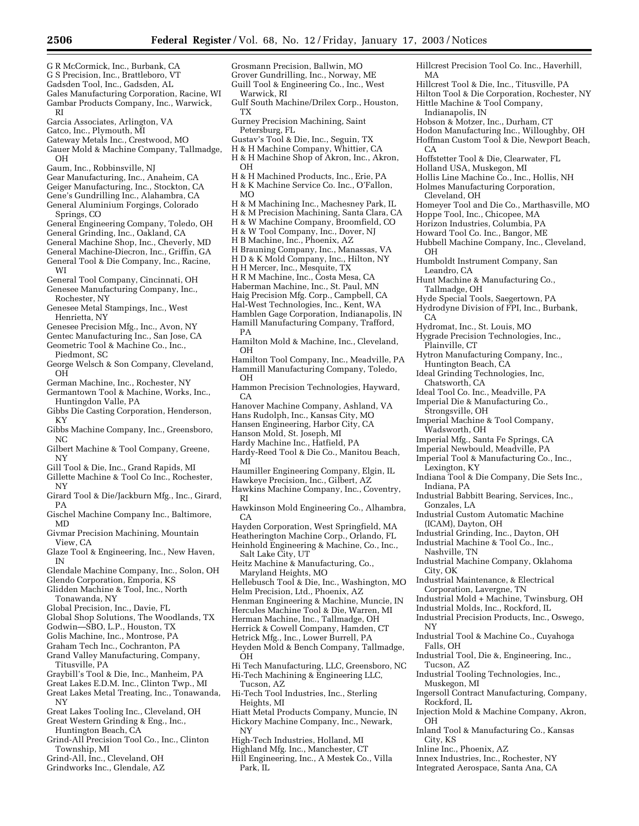Hillcrest Precision Tool Co. Inc., Haverhill,

Hillcrest Tool & Die, Inc., Titusville, PA Hilton Tool & Die Corporation, Rochester, NY

Hittle Machine & Tool Company,

Hobson & Motzer, Inc., Durham, CT Hodon Manufacturing Inc., Willoughby, OH Hoffman Custom Tool & Die, Newport Beach,

Hoffstetter Tool & Die, Clearwater, FL Holland USA, Muskegon, MI

Hoppe Tool, Inc., Chicopee, MA Horizon Industries, Columbia, PA Howard Tool Co. Inc., Bangor, ME

Humboldt Instrument Company, San

Hunt Machine & Manufacturing Co.,

Hyde Special Tools, Saegertown, PA Hydrodyne Division of FPI, Inc., Burbank,

Hytron Manufacturing Company, Inc.,

Ideal Tool Co. Inc., Meadville, PA Imperial Die & Manufacturing Co.,

Imperial Machine & Tool Company,

Imperial Mfg., Santa Fe Springs, CA Imperial Newbould, Meadville, PA Imperial Tool & Manufacturing Co., Inc.,

Indiana Tool & Die Company, Die Sets Inc.,

Industrial Babbitt Bearing, Services, Inc.,

Industrial Custom Automatic Machine

Industrial Grinding, Inc., Dayton, OH Industrial Machine & Tool Co., Inc.,

Industrial Maintenance, & Electrical Corporation, Lavergne, TN

Industrial Machine Company, Oklahoma

Industrial Mold + Machine, Twinsburg, OH Industrial Molds, Inc., Rockford, IL Industrial Precision Products, Inc., Oswego,

Industrial Tool & Machine Co., Cuyahoga

Industrial Tool, Die &, Engineering, Inc.,

Ingersoll Contract Manufacturing, Company,

Injection Mold & Machine Company, Akron,

Inland Tool & Manufacturing Co., Kansas

Innex Industries, Inc., Rochester, NY Integrated Aerospace, Santa Ana, CA

Industrial Tooling Technologies, Inc.,

Hydromat, Inc., St. Louis, MO Hygrade Precision Technologies, Inc.,

Huntington Beach, CA Ideal Grinding Technologies, Inc,

Hollis Line Machine Co., Inc., Hollis, NH Holmes Manufacturing Corporation,

Homeyer Tool and Die Co., Marthasville, MO

Hubbell Machine Company, Inc., Cleveland,

Indianapolis, IN

Cleveland, OH

Leandro, CA

Tallmadge, OH

Plainville, CT

Chatsworth, CA

Strongsville, OH

Wadsworth, OH

Lexington, KY

Indiana, PA

Gonzales, LA

Nashville, TN

City, OK

NY

**OH** 

City, KS

Inline Inc., Phoenix, AZ

Falls, OH

Tucson, AZ

Muskegon, MI

Rockford, IL

(ICAM), Dayton, OH

MA

CA

OH

CA

Grosmann Precision, Ballwin, MO Grover Gundrilling, Inc., Norway, ME

- G R McCormick, Inc., Burbank, CA
- G S Precision, Inc., Brattleboro, VT
- Gadsden Tool, Inc., Gadsden, AL Gales Manufacturing Corporation, Racine, WI
- Gambar Products Company, Inc., Warwick, RI
- Garcia Associates, Arlington, VA
- Gatco, Inc., Plymouth, MI
- Gateway Metals Inc., Crestwood, MO
- Gauer Mold & Machine Company, Tallmadge, OH
- Gaum, Inc., Robbinsville, NJ
- Gear Manufacturing, Inc., Anaheim, CA
- Geiger Manufacturing, Inc., Stockton, CA
- Gene's Gundrilling Inc., Alahambra, CA
- General Aluminium Forgings, Colorado Springs, CO
- General Engineering Company, Toledo, OH
- General Grinding, Inc., Oakland, CA
- General Machine Shop, Inc., Cheverly, MD
- General Machine-Diecron, Inc., Griffin, GA General Tool & Die Company, Inc., Racine,
- WI
- General Tool Company, Cincinnati, OH
- Genesee Manufacturing Company, Inc., Rochester, NY
- Genesee Metal Stampings, Inc., West Henrietta, NY
- Genesee Precision Mfg., Inc., Avon, NY
- Gentec Manufacturing Inc., San Jose, CA
- Geometric Tool & Machine Co., Inc., Piedmont, SC
- George Welsch & Son Company, Cleveland, **OH**
- German Machine, Inc., Rochester, NY
- Germantown Tool & Machine, Works, Inc., Huntingdon Valle, PA
- Gibbs Die Casting Corporation, Henderson, KY
- Gibbs Machine Company, Inc., Greensboro, NC
- Gilbert Machine & Tool Company, Greene, NY
- Gill Tool & Die, Inc., Grand Rapids, MI
- Gillette Machine & Tool Co Inc., Rochester,
- NY Girard Tool & Die/Jackburn Mfg., Inc., Girard, PA
- Gischel Machine Company Inc., Baltimore, MD
- Givmar Precision Machining, Mountain View, CA
- Glaze Tool & Engineering, Inc., New Haven, IN
- Glendale Machine Company, Inc., Solon, OH
- Glendo Corporation, Emporia, KS Glidden Machine & Tool, Inc., North
- Tonawanda, NY
- Global Precision, Inc., Davie, FL
- Global Shop Solutions, The Woodlands, TX
- Godwin—SBO, L.P., Houston, TX
- Golis Machine, Inc., Montrose, PA
- Graham Tech Inc., Cochranton, PA Grand Valley Manufacturing, Company, Titusville, PA
- Graybill's Tool & Die, Inc., Manheim, PA
- Great Lakes E.D.M. Inc., Clinton Twp., MI
- Great Lakes Metal Treating, Inc., Tonawanda, NY
- Great Lakes Tooling Inc., Cleveland, OH
- Great Western Grinding & Eng., Inc.,
- Huntington Beach, CA
- Grind-All Precision Tool Co., Inc., Clinton Township, MI
- Grind-All, Inc., Cleveland, OH
- Grindworks Inc., Glendale, AZ
- Guill Tool & Engineering Co., Inc., West Warwick, RI Gulf South Machine/Drilex Corp., Houston, TX Gurney Precision Machining, Saint Petersburg, FL Gustav's Tool & Die, Inc., Seguin, TX H & H Machine Company, Whittier, CA H & H Machine Shop of Akron, Inc., Akron, OH
- H & H Machined Products, Inc., Erie, PA
- H & K Machine Service Co. Inc., O'Fallon,
- MO
- H & M Machining Inc., Machesney Park, IL
- H & M Precision Machining, Santa Clara, CA
- H & W Machine Company, Broomfield, CO H & W Tool Company, Inc., Dover, NJ
- 
- H B Machine, Inc., Phoenix, AZ
- H Brauning Company, Inc., Manassas, VA H D & K Mold Company, Inc., Hilton, NY
- H H Mercer, Inc., Mesquite, TX
- 
- H R M Machine, Inc., Costa Mesa, CA
- Haberman Machine, Inc., St. Paul, MN Haig Precision Mfg. Corp., Campbell, CA
- 
- Hal-West Technologies, Inc., Kent, WA Hamblen Gage Corporation, Indianapolis, IN
- Hamill Manufacturing Company, Trafford,
- PA Hamilton Mold & Machine, Inc., Cleveland, OH
- Hamilton Tool Company, Inc., Meadville, PA Hammill Manufacturing Company, Toledo,
- OH Hammon Precision Technologies, Hayward, CA
- Hanover Machine Company, Ashland, VA
- Hans Rudolph, Inc., Kansas City, MO
- Hansen Engineering, Harbor City, CA
- Hanson Mold, St. Joseph, MI
- Hardy Machine Inc., Hatfield, PA
- Hardy-Reed Tool & Die Co., Manitou Beach, MI
- Haumiller Engineering Company, Elgin, IL
- Hawkeye Precision, Inc., Gilbert, AZ
- Hawkins Machine Company, Inc., Coventry,
- RI
- Hawkinson Mold Engineering Co., Alhambra, CA
- Hayden Corporation, West Springfield, MA Heatherington Machine Corp., Orlando, FL Heinhold Engineering & Machine, Co., Inc., Salt Lake City, UT
- Heitz Machine & Manufacturing, Co., Maryland Heights, MO
- Hellebusch Tool & Die, Inc., Washington, MO
- Helm Precision, Ltd., Phoenix, AZ
- Henman Engineering & Machine, Muncie, IN
- Hercules Machine Tool & Die, Warren, MI
- Herman Machine, Inc., Tallmadge, OH
- Herrick & Cowell Company, Hamden, CT
- Hetrick Mfg., Inc., Lower Burrell, PA
- Heyden Mold & Bench Company, Tallmadge, OH

Hi Tech Manufacturing, LLC, Greensboro, NC Hi-Tech Machining & Engineering LLC,

Tucson, AZ

Park, IL

- Hi-Tech Tool Industries, Inc., Sterling Heights, MI
- Hiatt Metal Products Company, Muncie, IN Hickory Machine Company, Inc., Newark, NY

Hill Engineering, Inc., A Mestek Co., Villa

High-Tech Industries, Holland, MI Highland Mfg. Inc., Manchester, CT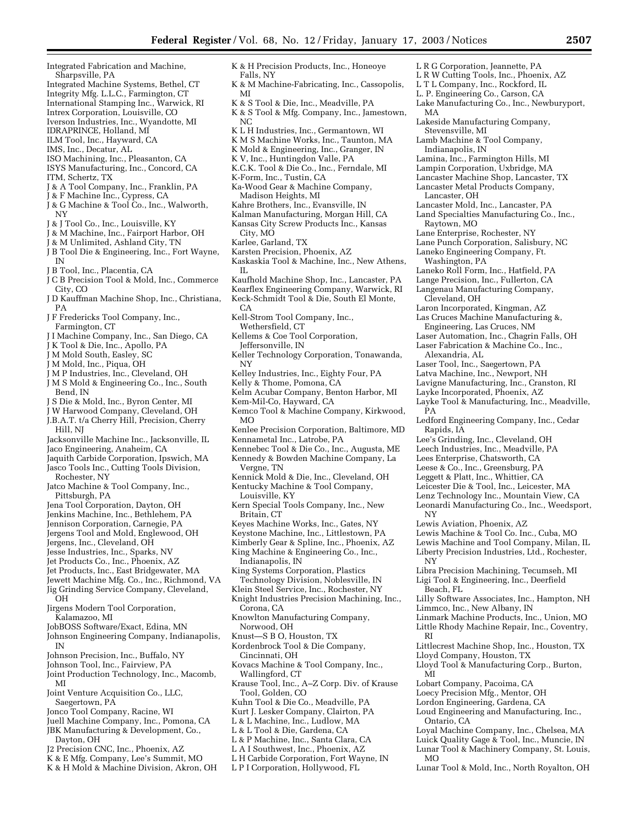L R G Corporation, Jeannette, PA L R W Cutting Tools, Inc., Phoenix, AZ L T L Company, Inc., Rockford, IL L. P. Engineering Co., Carson, CA

Lakeside Manufacturing Company,

Lamb Machine & Tool Company,

Lamina, Inc., Farmington Hills, MI Lampin Corporation, Uxbridge, MA Lancaster Machine Shop, Lancaster, TX Lancaster Metal Products Company,

Lancaster Mold, Inc., Lancaster, PA Land Specialties Manufacturing Co., Inc.,

Laneko Roll Form, Inc., Hatfield, PA Lange Precision, Inc., Fullerton, CA Langenau Manufacturing Company,

Laron Incorporated, Kingman, AZ Las Cruces Machine Manufacturing &, Engineering, Las Cruces, NM Laser Automation, Inc., Chagrin Falls, OH Laser Fabrication & Machine Co., Inc.,

Laser Tool, Inc., Saegertown, PA Latva Machine, Inc., Newport, NH Lavigne Manufacturing, Inc., Cranston, RI Layke Incorporated, Phoenix, AZ

Layke Tool & Manufacturing, Inc., Meadville,

Ledford Engineering Company, Inc., Cedar

Lewis Machine & Tool Co. Inc., Cuba, MO Lewis Machine and Tool Company, Milan, IL Liberty Precision Industries, Ltd., Rochester,

Libra Precision Machining, Tecumseh, MI Ligi Tool & Engineering, Inc., Deerfield

Lilly Software Associates, Inc., Hampton, NH

Linmark Machine Products, Inc., Union, MO Little Rhody Machine Repair, Inc., Coventry,

Littlecrest Machine Shop, Inc., Houston, TX

Lloyd Tool & Manufacturing Corp., Burton,

Loyal Machine Company, Inc., Chelsea, MA Luick Quality Gage & Tool, Inc., Muncie, IN Lunar Tool & Machinery Company, St. Louis,

Lunar Tool & Mold, Inc., North Royalton, OH

Lee's Grinding, Inc., Cleveland, OH Leech Industries, Inc., Meadville, PA Lees Enterprise, Chatsworth, CA Leese & Co., Inc., Greensburg, PA Leggett & Platt, Inc., Whittier, CA Leicester Die & Tool, Inc., Leicester, MA Lenz Technology Inc., Mountain View, CA Leonardi Manufacturing Co., Inc., Weedsport,

Lewis Aviation, Phoenix, AZ

Limmco, Inc., New Albany, IN

Lloyd Company, Houston, TX

Lobart Company, Pacoima, CA Loecy Precision Mfg., Mentor, OH Lordon Engineering, Gardena, CA Loud Engineering and Manufacturing, Inc.,

Lane Enterprise, Rochester, NY Lane Punch Corporation, Salisbury, NC Laneko Engineering Company, Ft.

MA

Stevensville, MI

Indianapolis, IN

Lancaster, OH

Raytown, MO

Washington, PA

Cleveland, OH

Alexandria, AL

 $\tilde{P}A$ 

NY

NY

RI

**MI** 

MO

Ontario, CA

Beach, FL

Rapids, IA

Lake Manufacturing Co., Inc., Newburyport,

- Integrated Fabrication and Machine, Sharpsville, PA
- Integrated Machine Systems, Bethel, CT
- Integrity Mfg. L.L.C., Farmington, CT
- International Stamping Inc., Warwick, RI
- Intrex Corporation, Louisville, CO
- Iverson Industries, Inc., Wyandotte, MI
- IDRAPRINCE, Holland, MI
- ILM Tool, Inc., Hayward, CA
- IMS, Inc., Decatur, AL ISO Machining, Inc., Pleasanton, CA
- ISYS Manufacturing, Inc., Concord, CA
- ITM, Schertz, TX
- J & A Tool Company, Inc., Franklin, PA
- J & F Machine Inc., Cypress, CA
- J & G Machine & Tool Co., Inc., Walworth, NY
- J & J Tool Co., Inc., Louisville, KY
- J & M Machine, Inc., Fairport Harbor, OH
- J & M Unlimited, Ashland City, TN
- J B Tool Die & Engineering, Inc., Fort Wayne, IN
- J B Tool, Inc., Placentia, CA
- J C B Precision Tool & Mold, Inc., Commerce City, CO
- J D Kauffman Machine Shop, Inc., Christiana, PA
- J F Fredericks Tool Company, Inc., Farmington, CT
- J I Machine Company, Inc., San Diego, CA
- J K Tool & Die, Inc., Apollo, PA
- J M Mold South, Easley, SC
- J M Mold, Inc., Piqua, OH
- J M P Industries, Inc., Cleveland, OH
- J M S Mold & Engineering Co., Inc., South Bend, IN
- J S Die & Mold, Inc., Byron Center, MI

J W Harwood Company, Cleveland, OH J.B.A.T. t/a Cherry Hill, Precision, Cherry

Hill, NJ

- Jacksonville Machine Inc., Jacksonville, IL
- Jaco Engineering, Anaheim, CA
- Jaquith Carbide Corporation, Ipswich, MA Jasco Tools Inc., Cutting Tools Division, Rochester, NY
- Jatco Machine & Tool Company, Inc., Pittsburgh, PA
- Jena Tool Corporation, Dayton, OH
- Jenkins Machine, Inc., Bethlehem, PA
- Jennison Corporation, Carnegie, PA
- Jergens Tool and Mold, Englewood, OH
- Jergens, Inc., Cleveland, OH
- Jesse Industries, Inc., Sparks, NV
- Jet Products Co., Inc., Phoenix, AZ
- Jet Products, Inc., East Bridgewater, MA
- Jewett Machine Mfg. Co., Inc., Richmond, VA
- Jig Grinding Service Company, Cleveland, OH
- Jirgens Modern Tool Corporation, Kalamazoo, MI
- JobBOSS Software/Exact, Edina, MN
- Johnson Engineering Company, Indianapolis, IN
- Johnson Precision, Inc., Buffalo, NY
- Johnson Tool, Inc., Fairview, PA
- Joint Production Technology, Inc., Macomb, MI
- Joint Venture Acquisition Co., LLC, Saegertown, PA
- Jonco Tool Company, Racine, WI
- Juell Machine Company, Inc., Pomona, CA
- JBK Manufacturing & Development, Co., Dayton, OH
- J2 Precision CNC, Inc., Phoenix, AZ
- K & E Mfg. Company, Lee's Summit, MO
- K & H Mold & Machine Division, Akron, OH
- K & H Precision Products, Inc., Honeoye Falls, NY K & M Machine-Fabricating, Inc., Cassopolis, MI K & S Tool & Die, Inc., Meadville, PA
- K & S Tool & Mfg. Company, Inc., Jamestown, NC
- K L H Industries, Inc., Germantown, WI
- K M S Machine Works, Inc., Taunton, MA
- K Mold & Engineering, Inc., Granger, IN
- K V, Inc., Huntingdon Valle, PA
- K.C.K. Tool & Die Co., Inc., Ferndale, MI
- K-Form, Inc., Tustin, CA
- Ka-Wood Gear & Machine Company, Madison Heights, MI
- Kahre Brothers, Inc., Evansville, IN
- Kalman Manufacturing, Morgan Hill, CA
- Kansas City Screw Products Inc., Kansas
- City, MO
- Karlee, Garland, TX
- Karsten Precision, Phoenix, AZ
- Kaskaskia Tool & Machine, Inc., New Athens, IL
- Kaufhold Machine Shop, Inc., Lancaster, PA
- Kearflex Engineering Company, Warwick, RI
- Keck-Schmidt Tool & Die, South El Monte,
- $CA$
- Kell-Strom Tool Company, Inc.,
- Wethersfield, CT
- Kellems & Coe Tool Corporation, Jeffersonville, IN
- Keller Technology Corporation, Tonawanda, NY
- Kelley Industries, Inc., Eighty Four, PA
- Kelly & Thome, Pomona, CA
- Kelm Acubar Company, Benton Harbor, MI
- Kem-Mil-Co, Hayward, CA
- Kemco Tool & Machine Company, Kirkwood, MO
- Kenlee Precision Corporation, Baltimore, MD Kennametal Inc., Latrobe, PA
- Kennebec Tool & Die Co., Inc., Augusta, ME
- Kennedy & Bowden Machine Company, La Vergne, TN
- Kennick Mold & Die, Inc., Cleveland, OH
- Kentucky Machine & Tool Company, Louisville, KY
- Kern Special Tools Company, Inc., New Britain, CT
- Keyes Machine Works, Inc., Gates, NY
- Keystone Machine, Inc., Littlestown, PA
- Kimberly Gear & Spline, Inc., Phoenix, AZ

Technology Division, Noblesville, IN Klein Steel Service, Inc., Rochester, NY Knight Industries Precision Machining, Inc.,

King Machine & Engineering Co., Inc., Indianapolis, IN

Knowlton Manufacturing Company,

Kovacs Machine & Tool Company, Inc.,

Kuhn Tool & Die Co., Meadville, PA Kurt J. Lesker Company, Clairton, PA L & L Machine, Inc., Ludlow, MA L & L Tool & Die, Gardena, CA L & P Machine, Inc., Santa Clara, CA L A I Southwest, Inc., Phoenix, AZ L H Carbide Corporation, Fort Wayne, IN L P I Corporation, Hollywood, FL

Krause Tool, Inc., A–Z Corp. Div. of Krause

King Systems Corporation, Plastics

Corona, CA

Norwood, OH Knust—S B O, Houston, TX Kordenbrock Tool & Die Company,

Cincinnati, OH

Wallingford, CT

Tool, Golden, CO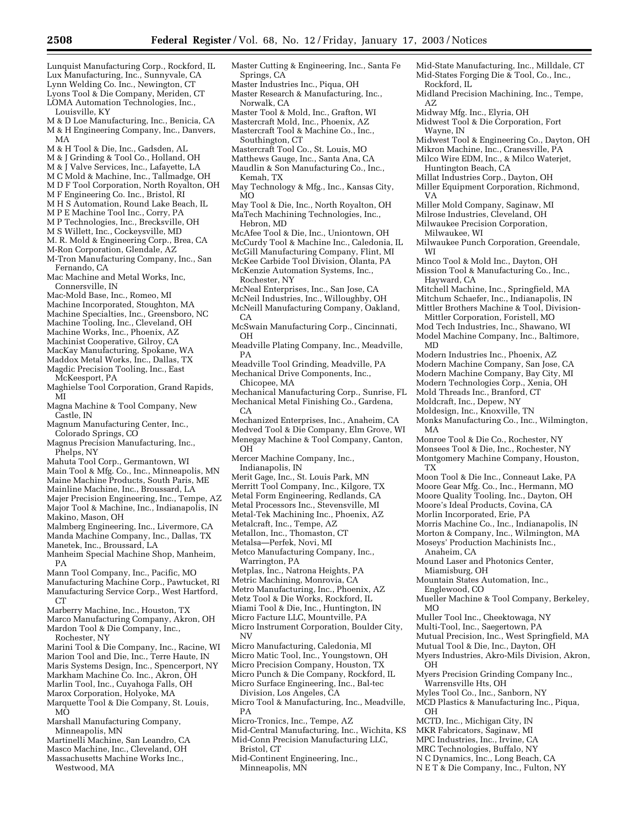Mid-State Manufacturing, Inc., Milldale, CT Mid-States Forging Die & Tool, Co., Inc.,

Midland Precision Machining, Inc., Tempe,

Midwest Tool & Engineering Co., Dayton, OH Mikron Machine, Inc., Cranesville, PA Milco Wire EDM, Inc., & Milco Waterjet,

Rockford, IL

Wayne, IN

Midway Mfg. Inc., Elyria, OH Midwest Tool & Die Corporation, Fort

Huntington Beach, CA Millat Industries Corp., Dayton, OH Miller Equipment Corporation, Richmond,

Milwaukee, WI

Hayward, CA

Miller Mold Company, Saginaw, MI Milrose Industries, Cleveland, OH Milwaukee Precision Corporation,

Minco Tool & Mold Inc., Dayton, OH Mission Tool & Manufacturing Co., Inc.,

Modern Industries Inc., Phoenix, AZ Modern Machine Company, San Jose, CA Modern Machine Company, Bay City, MI Modern Technologies Corp., Xenia, OH Mold Threads Inc., Branford, CT Moldcraft, Inc., Depew, NY Moldesign, Inc., Knoxville, TN

Monks Manufacturing Co., Inc., Wilmington,

Monroe Tool & Die Co., Rochester, NY Monsees Tool & Die, Inc., Rochester, NY Montgomery Machine Company, Houston,

Moon Tool & Die Inc., Conneaut Lake, PA Moore Gear Mfg. Co., Inc., Hermann, MO Moore Quality Tooling, Inc., Dayton, OH Moore's Ideal Products, Covina, CA Morlin Incorporated, Erie, PA

Morris Machine Co., Inc., Indianapolis, IN Morton & Company, Inc., Wilmington, MA Moseys' Production Machinists Inc.,

Mueller Machine & Tool Company, Berkeley,

Mutual Precision, Inc., West Springfield, MA Mutual Tool & Die, Inc., Dayton, OH Myers Industries, Akro-Mils Division, Akron,

Myers Precision Grinding Company Inc.,

Warrensville Hts, OH Myles Tool Co., Inc., Sanborn, NY MCD Plastics & Manufacturing Inc., Piqua,

MCTD, Inc., Michigan City, IN MKR Fabricators, Saginaw, MI MPC Industries, Inc., Irvine, CA MRC Technologies, Buffalo, NY N C Dynamics, Inc., Long Beach, CA N E T & Die Company, Inc., Fulton, NY

Mound Laser and Photonics Center,

Mountain States Automation, Inc.,

Muller Tool Inc., Cheektowaga, NY Multi-Tool, Inc., Saegertown, PA

Mitchell Machine, Inc., Springfield, MA Mitchum Schaefer, Inc., Indianapolis, IN Mittler Brothers Machine & Tool, Division-Mittler Corporation, Foristell, MO Mod Tech Industries, Inc., Shawano, WI Model Machine Company, Inc., Baltimore,

Milwaukee Punch Corporation, Greendale,

AZ

VA

WI

MD

MA

TX

Anaheim, CA

Miamisburg, OH

Englewood, CO

MO

 $\overline{O}$ H

OH

- Lunquist Manufacturing Corp., Rockford, IL Lux Manufacturing, Inc., Sunnyvale, CA Lynn Welding Co. Inc., Newington, CT
- Lyons Tool & Die Company, Meriden, CT LOMA Automation Technologies, Inc.,

Louisville, KY

- M & D Loe Manufacturing, Inc., Benicia, CA M & H Engineering Company, Inc., Danvers, MA
- M & H Tool & Die, Inc., Gadsden, AL
- M & J Grinding & Tool Co., Holland, OH
- M & J Valve Services, Inc., Lafayette, LA
- M C Mold & Machine, Inc., Tallmadge, OH
- M D F Tool Corporation, North Royalton, OH
- M F Engineering Co. Inc., Bristol, RI
- M H S Automation, Round Lake Beach, IL
- M P E Machine Tool Inc., Corry, PA
- M P Technologies, Inc., Brecksville, OH
- M S Willett, Inc., Cockeysville, MD
- M. R. Mold & Engineering Corp., Brea, CA
- M-Ron Corporation, Glendale, AZ
- M-Tron Manufacturing Company, Inc., San Fernando, CA
- Mac Machine and Metal Works, Inc, Connersville, IN
- Mac-Mold Base, Inc., Romeo, MI
- Machine Incorporated, Stoughton, MA
- Machine Specialties, Inc., Greensboro, NC
- 
- Machine Tooling, Inc., Cleveland, OH
- Machine Works, Inc., Phoenix, AZ
- Machinist Cooperative, Gilroy, CA
- MacKay Manufacturing, Spokane, WA Maddox Metal Works, Inc., Dallas, TX
- Magdic Precision Tooling, Inc., East
- McKeesport, PA
- Maghielse Tool Corporation, Grand Rapids, MI
- Magna Machine & Tool Company, New Castle, IN
- Magnum Manufacturing Center, Inc., Colorado Springs, CO
- Magnus Precision Manufacturing, Inc., Phelps, NY
- Mahuta Tool Corp., Germantown, WI
- Main Tool & Mfg. Co., Inc., Minneapolis, MN
- Maine Machine Products, South Paris, ME
- Mainline Machine, Inc., Broussard, LA
- Majer Precision Engineering, Inc., Tempe, AZ Major Tool & Machine, Inc., Indianapolis, IN Makino, Mason, OH
- Malmberg Engineering, Inc., Livermore, CA Manda Machine Company, Inc., Dallas, TX

Manetek, Inc., Broussard, LA

- Manheim Special Machine Shop, Manheim, PA
- Mann Tool Company, Inc., Pacific, MO
- Manufacturing Machine Corp., Pawtucket, RI Manufacturing Service Corp., West Hartford, CT
- Marberry Machine, Inc., Houston, TX
- Marco Manufacturing Company, Akron, OH

Mardon Tool & Die Company, Inc.,

- Rochester, NY
- Marini Tool & Die Company, Inc., Racine, WI Marion Tool and Die, Inc., Terre Haute, IN
- Maris Systems Design, Inc., Spencerport, NY
- Markham Machine Co. Inc., Akron, OH
- Marlin Tool, Inc., Cuyahoga Falls, OH
- Marox Corporation, Holyoke, MA
- Marquette Tool & Die Company, St. Louis, MO
- Marshall Manufacturing Company, Minneapolis, MN
- Martinelli Machine, San Leandro, CA
- Masco Machine, Inc., Cleveland, OH
- Massachusetts Machine Works Inc., Westwood, MA
- Master Cutting & Engineering, Inc., Santa Fe Springs, CA
- Master Industries Inc., Piqua, OH
- Master Research & Manufacturing, Inc., Norwalk, CA
- Master Tool & Mold, Inc., Grafton, WI
- Mastercraft Mold, Inc., Phoenix, AZ
- Mastercraft Tool & Machine Co., Inc.,
- Southington, CT
- Mastercraft Tool Co., St. Louis, MO
- Matthews Gauge, Inc., Santa Ana, CA
- Maudlin & Son Manufacturing Co., Inc.,
- Kemah, TX May Technology & Mfg., Inc., Kansas City,
- MO
- May Tool & Die, Inc., North Royalton, OH MaTech Machining Technologies, Inc., Hebron, MD
- McAfee Tool & Die, Inc., Uniontown, OH McCurdy Tool & Machine Inc., Caledonia, IL McGill Manufacturing Company, Flint, MI McKee Carbide Tool Division, Olanta, PA
- McKenzie Automation Systems, Inc.,
- Rochester, NY
- McNeal Enterprises, Inc., San Jose, CA
- McNeil Industries, Inc., Willoughby, OH McNeill Manufacturing Company, Oakland,
- $CA$
- McSwain Manufacturing Corp., Cincinnati, OH
- Meadville Plating Company, Inc., Meadville, PA
- Meadville Tool Grinding, Meadville, PA Mechanical Drive Components, Inc.,
- Chicopee, MA
- Mechanical Manufacturing Corp., Sunrise, FL Mechanical Metal Finishing Co., Gardena,  $CA$
- Mechanized Enterprises, Inc., Anaheim, CA Medved Tool & Die Company, Elm Grove, WI Menegay Machine & Tool Company, Canton, OH
- Mercer Machine Company, Inc., Indianapolis, IN
- Merit Gage, Inc., St. Louis Park, MN
- Merritt Tool Company, Inc., Kilgore, TX
- Metal Form Engineering, Redlands, CA
- Metal Processors Inc., Stevensville, MI
- Metal-Tek Machining Inc., Phoenix, AZ
- 
- Metalcraft, Inc., Tempe, AZ Metallon, Inc., Thomaston, CT
- Metalsa—Perfek, Novi, MI
- 

Metco Manufacturing Company, Inc., Warrington, PA

Metplas, Inc., Natrona Heights, PA

PA

Bristol, CT

Minneapolis, MN

- Metric Machining, Monrovia, CA
- Metro Manufacturing, Inc., Phoenix, AZ
- Metz Tool & Die Works, Rockford, IL Miami Tool & Die, Inc., Huntington, IN
- Micro Facture LLC, Mountville, PA
- Micro Instrument Corporation, Boulder City, NV

Micro Punch & Die Company, Rockford, IL Micro Surface Engineering, Inc., Bal-tec Division, Los Angeles, CA

Micro Tool & Manufacturing, Inc., Meadville,

Mid-Central Manufacturing, Inc., Wichita, KS Mid-Conn Precision Manufacturing LLC,

Micro Manufacturing, Caledonia, MI Micro Matic Tool, Inc., Youngstown, OH Micro Precision Company, Houston, TX

Micro-Tronics, Inc., Tempe, AZ

Mid-Continent Engineering, Inc.,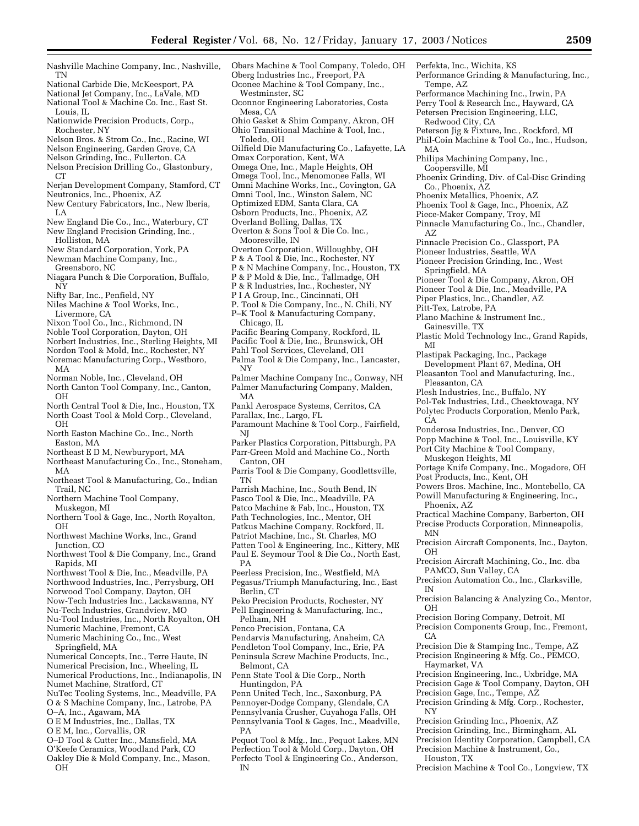- Nashville Machine Company, Inc., Nashville, TN
- National Carbide Die, McKeesport, PA
- National Jet Company, Inc., LaVale, MD
- National Tool & Machine Co. Inc., East St. Louis, IL

Nationwide Precision Products, Corp., Rochester, NY

- Nelson Bros. & Strom Co., Inc., Racine, WI
- Nelson Engineering, Garden Grove, CA
- Nelson Grinding, Inc., Fullerton, CA
- Nelson Precision Drilling Co., Glastonbury, CT<sub>1</sub>
- Nerjan Development Company, Stamford, CT
- Neutronics, Inc., Phoenix, AZ
- New Century Fabricators, Inc., New Iberia, LA
- New England Die Co., Inc., Waterbury, CT New England Precision Grinding, Inc.,
- Holliston, MA
- New Standard Corporation, York, PA Newman Machine Company, Inc., Greensboro, NC
- Niagara Punch & Die Corporation, Buffalo, NY

Nifty Bar, Inc., Penfield, NY

Niles Machine & Tool Works, Inc.,

- Livermore, CA
- Nixon Tool Co., Inc., Richmond, IN
- Noble Tool Corporation, Dayton, OH
- Norbert Industries, Inc., Sterling Heights, MI
- Nordon Tool & Mold, Inc., Rochester, NY
- Noremac Manufacturing Corp., Westboro, MA
- Norman Noble, Inc., Cleveland, OH
- North Canton Tool Company, Inc., Canton,
- OH North Central Tool & Die, Inc., Houston, TX North Coast Tool & Mold Corp., Cleveland,
- OH North Easton Machine Co., Inc., North
- Easton, MA
- Northeast E D M, Newburyport, MA
- Northeast Manufacturing Co., Inc., Stoneham, MA
- Northeast Tool & Manufacturing, Co., Indian Trail, NC
- Northern Machine Tool Company, Muskegon, MI
- Northern Tool & Gage, Inc., North Royalton, OH
- Northwest Machine Works, Inc., Grand Junction, CO
- Northwest Tool & Die Company, Inc., Grand Rapids, MI
- Northwest Tool & Die, Inc., Meadville, PA
- Northwood Industries, Inc., Perrysburg, OH
- Norwood Tool Company, Dayton, OH
- Now-Tech Industries Inc., Lackawanna, NY Nu-Tech Industries, Grandview, MO
- Nu-Tool Industries, Inc., North Royalton, OH
- Numeric Machine, Fremont, CA
- Numeric Machining Co., Inc., West Springfield, MA
- Numerical Concepts, Inc., Terre Haute, IN
- Numerical Precision, Inc., Wheeling, IL
- Numerical Productions, Inc., Indianapolis, IN
- Numet Machine, Stratford, CT
- NuTec Tooling Systems, Inc., Meadville, PA
- O & S Machine Company, Inc., Latrobe, PA
- O–A, Inc., Agawam, MA
- O E M Industries, Inc., Dallas, TX
- O E M, Inc., Corvallis, OR
- O–D Tool & Cutter Inc., Mansfield, MA
- O'Keefe Ceramics, Woodland Park, CO
- Oakley Die & Mold Company, Inc., Mason, OH
- Obars Machine & Tool Company, Toledo, OH Oberg Industries Inc., Freeport, PA Oconee Machine & Tool Company, Inc., Westminster, SC Oconnor Engineering Laboratories, Costa Mesa, CA Ohio Gasket & Shim Company, Akron, OH Ohio Transitional Machine & Tool, Inc., Toledo, OH Oilfield Die Manufacturing Co., Lafayette, LA Omax Corporation, Kent, WA Omega One, Inc., Maple Heights, OH Omega Tool, Inc., Menomonee Falls, WI Omni Machine Works, Inc., Covington, GA Omni Tool, Inc., Winston Salem, NC Optimized EDM, Santa Clara, CA Osborn Products, Inc., Phoenix, AZ Overland Bolling, Dallas, TX Overton & Sons Tool & Die Co. Inc., Mooresville, IN Overton Corporation, Willoughby, OH P & A Tool & Die, Inc., Rochester, NY P & N Machine Company, Inc., Houston, TX P & P Mold & Die, Inc., Tallmadge, OH P & R Industries, Inc., Rochester, NY P I A Group, Inc., Cincinnati, OH P. Tool & Die Company, Inc., N. Chili, NY P–K Tool & Manufacturing Company, Chicago, IL Pacific Bearing Company, Rockford, IL Pacific Tool & Die, Inc., Brunswick, OH Pahl Tool Services, Cleveland, OH Palma Tool & Die Company, Inc., Lancaster, NY Palmer Machine Company Inc., Conway, NH Palmer Manufacturing Company, Malden, MA Pankl Aerospace Systems, Cerritos, CA Parallax, Inc., Largo, FL Paramount Machine & Tool Corp., Fairfield, NJ Parker Plastics Corporation, Pittsburgh, PA Parr-Green Mold and Machine Co., North Canton, OH Parris Tool & Die Company, Goodlettsville, TN Parrish Machine, Inc., South Bend, IN Pasco Tool & Die, Inc., Meadville, PA Patco Machine & Fab, Inc., Houston, TX Path Technologies, Inc., Mentor, OH Patkus Machine Company, Rockford, IL Patriot Machine, Inc., St. Charles, MO Patten Tool & Engineering, Inc., Kittery, ME Paul E. Seymour Tool & Die Co., North East, PA Peerless Precision, Inc., Westfield, MA Pegasus/Triumph Manufacturing, Inc., East Berlin, CT Peko Precision Products, Rochester, NY Pell Engineering & Manufacturing, Inc., Pelham, NH Penco Precision, Fontana, CA Pendarvis Manufacturing, Anaheim, CA Pendleton Tool Company, Inc., Erie, PA Peninsula Screw Machine Products, Inc., Belmont, CA Penn State Tool & Die Corp., North Huntingdon, PA Penn United Tech, Inc., Saxonburg, PA Pennoyer-Dodge Company, Glendale, CA Pennsylvania Crusher, Cuyahoga Falls, OH Pennsylvania Tool & Gages, Inc., Meadville, PA MA AZ MI CA MN OH IN OH CA NY
- Pequot Tool & Mfg., Inc., Pequot Lakes, MN Perfection Tool & Mold Corp., Dayton, OH Perfecto Tool & Engineering Co., Anderson, IN
- Perfekta, Inc., Wichita, KS Performance Grinding & Manufacturing, Inc., Tempe, AZ Performance Machining Inc., Irwin, PA Perry Tool & Research Inc., Hayward, CA Petersen Precision Engineering, LLC, Redwood City, CA Peterson Jig & Fixture, Inc., Rockford, MI Phil-Coin Machine & Tool Co., Inc., Hudson, Philips Machining Company, Inc., Coopersville, MI Phoenix Grinding, Div. of Cal-Disc Grinding Co., Phoenix, AZ Phoenix Metallics, Phoenix, AZ Phoenix Tool & Gage, Inc., Phoenix, AZ Piece-Maker Company, Troy, MI Pinnacle Manufacturing Co., Inc., Chandler, Pinnacle Precision Co., Glassport, PA Pioneer Industries, Seattle, WA Pioneer Precision Grinding, Inc., West Springfield, MA Pioneer Tool & Die Company, Akron, OH Pioneer Tool & Die, Inc., Meadville, PA Piper Plastics, Inc., Chandler, AZ Pitt-Tex, Latrobe, PA Plano Machine & Instrument Inc., Gainesville, TX Plastic Mold Technology Inc., Grand Rapids, Plastipak Packaging, Inc., Package Development Plant 67, Medina, OH Pleasanton Tool and Manufacturing, Inc., Pleasanton, CA Plesh Industries, Inc., Buffalo, NY Pol-Tek Industries, Ltd., Cheektowaga, NY Polytec Products Corporation, Menlo Park, Ponderosa Industries, Inc., Denver, CO Popp Machine & Tool, Inc., Louisville, KY Port City Machine & Tool Company, Muskegon Heights, MI Portage Knife Company, Inc., Mogadore, OH Post Products, Inc., Kent, OH Powers Bros. Machine, Inc., Montebello, CA Powill Manufacturing & Engineering, Inc., Phoenix, AZ Practical Machine Company, Barberton, OH Precise Products Corporation, Minneapolis, Precision Aircraft Components, Inc., Dayton, Precision Aircraft Machining, Co., Inc. dba PAMCO, Sun Valley, CA Precision Automation Co., Inc., Clarksville, Precision Balancing & Analyzing Co., Mentor, Precision Boring Company, Detroit, MI Precision Components Group, Inc., Fremont, Precision Die & Stamping Inc., Tempe, AZ Precision Engineering & Mfg. Co., PEMCO, Haymarket, VA Precision Engineering, Inc., Uxbridge, MA Precision Gage & Tool Company, Dayton, OH Precision Gage, Inc., Tempe, AZ Precision Grinding & Mfg. Corp., Rochester,
- 
- Precision Grinding Inc., Phoenix, AZ
- Precision Grinding, Inc., Birmingham, AL

Precision Identity Corporation, Campbell, CA Precision Machine & Instrument, Co.,

- Houston, TX
- Precision Machine & Tool Co., Longview, TX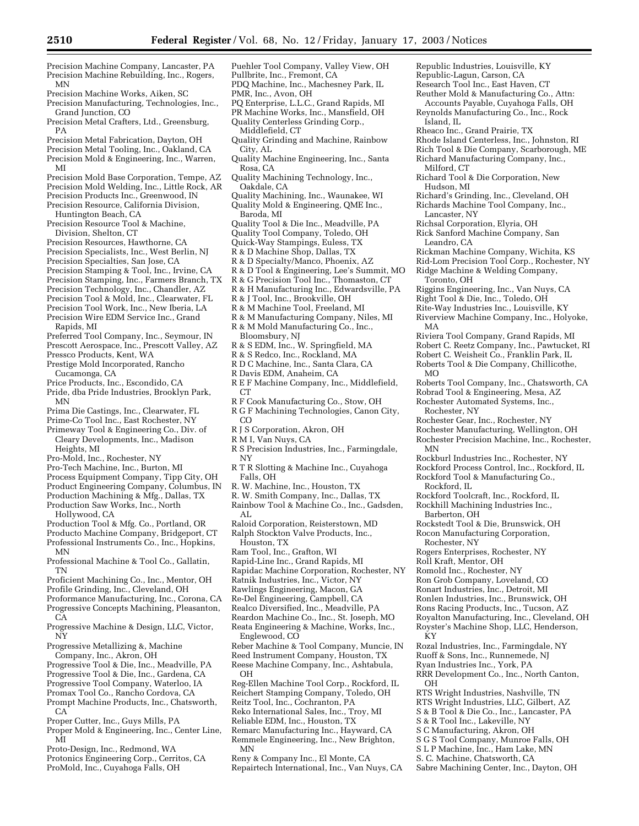Republic Industries, Louisville, KY Republic-Lagun, Carson, CA Research Tool Inc., East Haven, CT Reuther Mold & Manufacturing Co., Attn: Accounts Payable, Cuyahoga Falls, OH Reynolds Manufacturing Co., Inc., Rock

Rheaco Inc., Grand Prairie, TX

Rhode Island Centerless, Inc., Johnston, RI Rich Tool & Die Company, Scarborough, ME Richard Manufacturing Company, Inc.,

Richard Tool & Die Corporation, New

Richsal Corporation, Elyria, OH Rick Sanford Machine Company, San

Richard's Grinding, Inc., Cleveland, OH Richards Machine Tool Company, Inc.,

Rickman Machine Company, Wichita, KS Rid-Lom Precision Tool Corp., Rochester, NY Ridge Machine & Welding Company,

Riggins Engineering, Inc., Van Nuys, CA Right Tool & Die, Inc., Toledo, OH Rite-Way Industries Inc., Louisville, KY Riverview Machine Company, Inc., Holyoke,

Riviera Tool Company, Grand Rapids, MI Robert C. Reetz Company, Inc., Pawtucket, RI Robert C. Weisheit Co., Franklin Park, IL Roberts Tool & Die Company, Chillicothe,

Roberts Tool Company, Inc., Chatsworth, CA Robrad Tool & Engineering, Mesa, AZ Rochester Automated Systems, Inc.,

Rochester Gear, Inc., Rochester, NY Rochester Manufacturing, Wellington, OH Rochester Precision Machine, Inc., Rochester,

Rockburl Industries Inc., Rochester, NY Rockford Process Control, Inc., Rockford, IL Rockford Tool & Manufacturing Co.,

Rockford Toolcraft, Inc., Rockford, IL Rockhill Machining Industries Inc.,

Rockstedt Tool & Die, Brunswick, OH Rocon Manufacturing Corporation,

Rozal Industries, Inc., Farmingdale, NY Ruoff & Sons, Inc., Runnemede, NJ Ryan Industries Inc., York, PA

RTS Wright Industries, Nashville, TN RTS Wright Industries, LLC, Gilbert, AZ S & B Tool & Die Co., Inc., Lancaster, PA

S & R Tool Inc., Lakeville, NY S C Manufacturing, Akron, OH S G S Tool Company, Munroe Falls, OH S L P Machine, Inc., Ham Lake, MN S. C. Machine, Chatsworth, CA

RRR Development Co., Inc., North Canton,

Sabre Machining Center, Inc., Dayton, OH

Rogers Enterprises, Rochester, NY

Island, IL

Milford, CT

Hudson, MI

Lancaster, NY

Leandro, CA

Toronto, OH

MA

MO

MN

KY

OH

Rochester, NY

Rockford, IL

Barberton, OH

Rochester, NY

Roll Kraft, Mentor, OH Romold Inc., Rochester, NY Ron Grob Company, Loveland, CO Ronart Industries, Inc., Detroit, MI Ronlen Industries, Inc., Brunswick, OH Rons Racing Products, Inc., Tucson, AZ Royalton Manufacturing, Inc., Cleveland, OH Royster's Machine Shop, LLC, Henderson,

- Precision Machine Company, Lancaster, PA Precision Machine Rebuilding, Inc., Rogers, MN
- Precision Machine Works, Aiken, SC
- Precision Manufacturing, Technologies, Inc., Grand Junction, CO
- Precision Metal Crafters, Ltd., Greensburg, PA
- Precision Metal Fabrication, Dayton, OH
- Precision Metal Tooling, Inc., Oakland, CA
- Precision Mold & Engineering, Inc., Warren, MI
- Precision Mold Base Corporation, Tempe, AZ
- Precision Mold Welding, Inc., Little Rock, AR
- Precision Products Inc., Greenwood, IN
- Precision Resource, California Division, Huntington Beach, CA Precision Resource Tool & Machine,
- Division, Shelton, CT
- Precision Resources, Hawthorne, CA
- Precision Specialists, Inc., West Berlin, NJ
- Precision Specialties, San Jose, CA
- Precision Stamping & Tool, Inc., Irvine, CA
- Precision Stamping, Inc., Farmers Branch, TX Precision Technology, Inc., Chandler, AZ
- Precision Tool & Mold, Inc., Clearwater, FL
- Precision Tool Work, Inc., New Iberia, LA
- Precision Wire EDM Service Inc., Grand Rapids, MI
- Preferred Tool Company, Inc., Seymour, IN
- Prescott Aerospace, Inc., Prescott Valley, AZ
- Pressco Products, Kent, WA
- Prestige Mold Incorporated, Rancho Cucamonga, CA
- Price Products, Inc., Escondido, CA
- Pride, dba Pride Industries, Brooklyn Park, MN
- Prima Die Castings, Inc., Clearwater, FL
- Prime-Co Tool Inc., East Rochester, NY
- Primeway Tool & Engineering Co., Div. of
- Cleary Developments, Inc., Madison Heights, MI
- Pro-Mold, Inc., Rochester, NY
- Pro-Tech Machine, Inc., Burton, MI
- Process Equipment Company, Tipp City, OH

Product Engineering Company, Columbus, IN Production Machining & Mfg., Dallas, TX

- Production Saw Works, Inc., North
- Hollywood, CA
- Production Tool & Mfg. Co., Portland, OR Producto Machine Company, Bridgeport, CT Professional Instruments Co., Inc., Hopkins,
- MN Professional Machine & Tool Co., Gallatin,
- TN
- Proficient Machining Co., Inc., Mentor, OH
- Profile Grinding, Inc., Cleveland, OH
- Proformance Manufacturing, Inc., Corona, CA Progressive Concepts Machining, Pleasanton,  $CA$
- Progressive Machine & Design, LLC, Victor, NY
- Progressive Metallizing &, Machine Company, Inc., Akron, OH
- Progressive Tool & Die, Inc., Meadville, PA
- Progressive Tool & Die, Inc., Gardena, CA
- Progressive Tool Company, Waterloo, IA
- Promax Tool Co., Rancho Cordova, CA
- Prompt Machine Products, Inc., Chatsworth,  $CA$
- Proper Cutter, Inc., Guys Mills, PA
- Proper Mold & Engineering, Inc., Center Line, MI
- Proto-Design, Inc., Redmond, WA
- Protonics Engineering Corp., Cerritos, CA ProMold, Inc., Cuyahoga Falls, OH
- Puehler Tool Company, Valley View, OH
- Pullbrite, Inc., Fremont, CA PDQ Machine, Inc., Machesney Park, IL
- PMR, Inc., Avon, OH
- PQ Enterprise, L.L.C., Grand Rapids, MI
- PR Machine Works, Inc., Mansfield, OH
- Quality Centerless Grinding Corp.,
- Middlefield, CT
- Quality Grinding and Machine, Rainbow City, AL
- Quality Machine Engineering, Inc., Santa Rosa, CA
- Quality Machining Technology, Inc., Oakdale, CA
- Quality Machining, Inc., Waunakee, WI
- Quality Mold & Engineering, QME Inc., Baroda, MI
- Quality Tool & Die Inc., Meadville, PA
- Quality Tool Company, Toledo, OH
- Quick-Way Stampings, Euless, TX
- R & D Machine Shop, Dallas, TX
- R & D Specialty/Manco, Phoenix, AZ
- R & D Tool & Engineering, Lee's Summit, MO
- R & G Precision Tool Inc., Thomaston, CT
- R & H Manufacturing Inc., Edwardsville, PA
- R & J Tool, Inc., Brookville, OH
- R & M Machine Tool, Freeland, MI
- R & M Manufacturing Company, Niles, MI R & M Mold Manufacturing Co., Inc.,
- Bloomsbury, NJ
- R & S EDM, Inc., W. Springfield, MA
- R & S Redco, Inc., Rockland, MA
- R D C Machine, Inc., Santa Clara, CA
- R Davis EDM, Anaheim, CA
- R E F Machine Company, Inc., Middlefield, CT
- R F Cook Manufacturing Co., Stow, OH
- R G F Machining Technologies, Canon City, CO
- R J S Corporation, Akron, OH
- R M I, Van Nuys, CA
- R S Precision Industries, Inc., Farmingdale, NY
- R T R Slotting & Machine Inc., Cuyahoga Falls, OH
- R. W. Machine, Inc., Houston, TX
- R. W. Smith Company, Inc., Dallas, TX
- Rainbow Tool & Machine Co., Inc., Gadsden, AL.
- Raloid Corporation, Reisterstown, MD Ralph Stockton Valve Products, Inc.,
- Houston, TX
- Ram Tool, Inc., Grafton, WI

Englewood, CO

OH

MN

- Rapid-Line Inc., Grand Rapids, MI
- Rapidac Machine Corporation, Rochester, NY

Reber Machine & Tool Company, Muncie, IN Reed Instrument Company, Houston, TX Reese Machine Company, Inc., Ashtabula,

Reg-Ellen Machine Tool Corp., Rockford, IL Reichert Stamping Company, Toledo, OH Reitz Tool, Inc., Cochranton, PA Reko International Sales, Inc., Troy, MI Reliable EDM, Inc., Houston, TX Remarc Manufacturing Inc., Hayward, CA Remmele Engineering, Inc., New Brighton,

Reny & Company Inc., El Monte, CA Repairtech International, Inc., Van Nuys, CA

Ratnik Industries, Inc., Victor, NY

Realco Diversified, Inc., Meadville, PA Reardon Machine Co., Inc., St. Joseph, MO Reata Engineering & Machine, Works, Inc.,

- Rawlings Engineering, Macon, GA
- Re-Del Engineering, Campbell, CA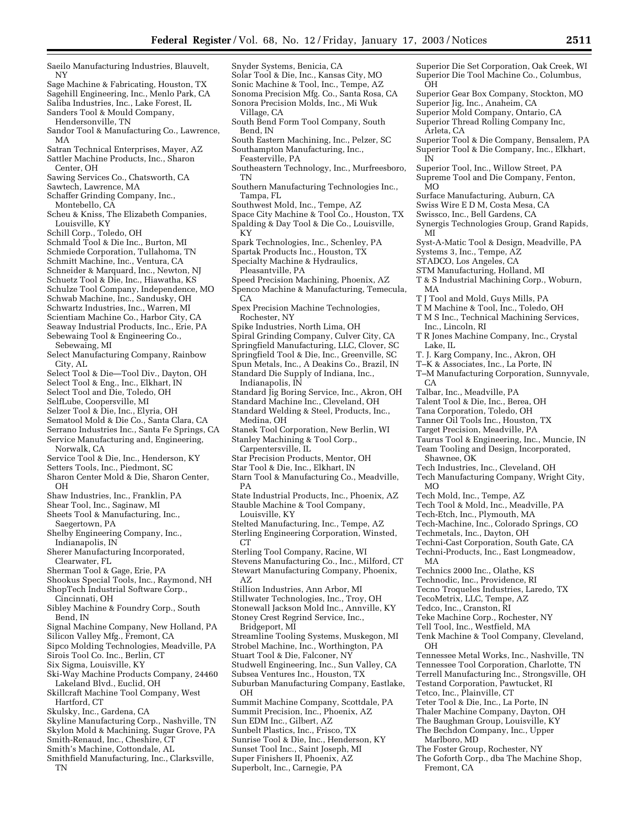- Saeilo Manufacturing Industries, Blauvelt, NY Sage Machine & Fabricating, Houston, TX Sagehill Engineering, Inc., Menlo Park, CA Saliba Industries, Inc., Lake Forest, IL Sanders Tool & Mould Company, Hendersonville, TN Sandor Tool & Manufacturing Co., Lawrence, MA Satran Technical Enterprises, Mayer, AZ Sattler Machine Products, Inc., Sharon Center, OH Sawing Services Co., Chatsworth, CA Sawtech, Lawrence, MA Schaffer Grinding Company, Inc., Montebello, CA Scheu & Kniss, The Elizabeth Companies, Louisville, KY Schill Corp., Toledo, OH Schmald Tool & Die Inc., Burton, MI Schmiede Corporation, Tullahoma, TN Schuetz Tool & Die, Inc., Hiawatha, KS Schulze Tool Company, Independence, MO Schwab Machine, Inc., Sandusky, OH Schwartz Industries, Inc., Warren, MI Seaway Industrial Products, Inc., Erie, PA Sebewaing, MI Select Tool & Die—Tool Div., Dayton, OH Select Tool & Eng., Inc., Elkhart, IN Select Tool and Die, Toledo, OH SelfLube, Coopersville, MI Selzer Tool & Die, Inc., Elyria, OH Sematool Mold & Die Co., Santa Clara, CA Norwalk, CA Service Tool & Die, Inc., Henderson, KY Setters Tools, Inc., Piedmont, SC Shear Tool, Inc., Saginaw, MI Sheets Tool & Manufacturing, Inc., Sherer Manufacturing Incorporated, Sherman Tool & Gage, Erie, PA Shookus Special Tools, Inc., Raymond, NH Sibley Machine & Foundry Corp., South Signal Machine Company, New Holland, PA Silicon Valley Mfg., Fremont, CA Sipco Molding Technologies, Meadville, PA Sirois Tool Co. Inc., Berlin, CT Six Sigma, Louisville, KY Lakeland Blvd., Euclid, OH Hartford, CT Skulsky, Inc., Gardena, CA Snyder Systems, Benicia, CA Village, CA Bend, IN Feasterville, PA TN Tampa, FL KY  $CA$ PA  $CT$ AZ OH
- Skyline Manufacturing Corp., Nashville, TN
- Skylon Mold & Machining, Sugar Grove, PA Smith-Renaud, Inc., Cheshire, CT
- Smith's Machine, Cottondale, AL
- Smithfield Manufacturing, Inc., Clarksville, TN
- Solar Tool & Die, Inc., Kansas City, MO Sonic Machine & Tool, Inc., Tempe, AZ Sonoma Precision Mfg. Co., Santa Rosa, CA Sonora Precision Molds, Inc., Mi Wuk South Bend Form Tool Company, South South Eastern Machining, Inc., Pelzer, SC Southampton Manufacturing, Inc., Southeastern Technology, Inc., Murfreesboro, Southern Manufacturing Technologies Inc., Southwest Mold, Inc., Tempe, AZ Space City Machine & Tool Co., Houston, TX Spalding & Day Tool & Die Co., Louisville, Spark Technologies, Inc., Schenley, PA Superior Die Set Corporation, Oak Creek, WI Superior Die Tool Machine Co., Columbus, OH Superior Gear Box Company, Stockton, MO Superior Jig, Inc., Anaheim, CA Superior Mold Company, Ontario, CA Superior Thread Rolling Company Inc, Arleta, CA Superior Tool & Die Company, Bensalem, PA Superior Tool & Die Company, Inc., Elkhart, IN Superior Tool, Inc., Willow Street, PA Supreme Tool and Die Company, Fenton, MO Surface Manufacturing, Auburn, CA Swiss Wire E D M, Costa Mesa, CA Swissco, Inc., Bell Gardens, CA Synergis Technologies Group, Grand Rapids, MI Syst-A-Matic Tool & Design, Meadville, PA Systems 3, Inc., Tempe, AZ STADCO, Los Angeles, CA STM Manufacturing, Holland, MI T & S Industrial Machining Corp., Woburn, MA T J Tool and Mold, Guys Mills, PA T M Machine & Tool, Inc., Toledo, OH T M S Inc., Technical Machining Services, Inc., Lincoln, RI T R Jones Machine Company, Inc., Crystal Lake, IL T. J. Karg Company, Inc., Akron, OH T–K & Associates, Inc., La Porte, IN T–M Manufacturing Corporation, Sunnyvale, CA Talbar, Inc., Meadville, PA Talent Tool & Die, Inc., Berea, OH Tana Corporation, Toledo, OH Tanner Oil Tools Inc., Houston, TX Target Precision, Meadville, PA Taurus Tool & Engineering, Inc., Muncie, IN Team Tooling and Design, Incorporated, Shawnee, OK Tech Industries, Inc., Cleveland, OH Tech Manufacturing Company, Wright City,  $MO$ Tech Mold, Inc., Tempe, AZ Tech Tool & Mold, Inc., Meadville, PA Tech-Etch, Inc., Plymouth, MA Tech-Machine, Inc., Colorado Springs, CO Techmetals, Inc., Dayton, OH Techni-Cast Corporation, South Gate, CA Techni-Products, Inc., East Longmeadow, MA Technics 2000 Inc., Olathe, KS Tedco, Inc., Cranston, RI Tell Tool, Inc., Westfield, MA OH Tennessee Tool Corporation, Charlotte, TN Terrell Manufacturing Inc., Strongsville, OH Testand Corporation, Pawtucket, RI Tetco, Inc., Plainville, CT Marlboro, MD
	-
- Technodic, Inc., Providence, RI
- Tecno Troqueles Industries, Laredo, TX
- TecoMetrix, LLC, Tempe, AZ
- Teke Machine Corp., Rochester, NY
- 
- Tenk Machine & Tool Company, Cleveland,
- Tennessee Metal Works, Inc., Nashville, TN
- 
- 
- Teter Tool & Die, Inc., La Porte, IN
- Thaler Machine Company, Dayton, OH
- The Baughman Group, Louisville, KY
- The Bechdon Company, Inc., Upper
- The Foster Group, Rochester, NY
- The Goforth Corp., dba The Machine Shop, Fremont, CA
- Spartak Products Inc., Houston, TX Specialty Machine & Hydraulics,
- Pleasantville, PA
- Speed Precision Machining, Phoenix, AZ
- Spenco Machine & Manufacturing, Temecula,
- Spex Precision Machine Technologies, Rochester, NY
- Spike Industries, North Lima, OH
- Spiral Grinding Company, Culver City, CA
- Springfield Manufacturing, LLC, Clover, SC

Springfield Tool & Die, Inc., Greenville, SC

- Spun Metals, Inc., A Deakins Co., Brazil, IN
- Standard Die Supply of Indiana, Inc.,

Indianapolis, IN

- Standard Jig Boring Service, Inc., Akron, OH
- Standard Machine Inc., Cleveland, OH
- Standard Welding & Steel, Products, Inc., Medina, OH
- Stanek Tool Corporation, New Berlin, WI Stanley Machining & Tool Corp.,
- Carpentersville, IL
- Star Precision Products, Mentor, OH
- Star Tool & Die, Inc., Elkhart, IN
- Starn Tool & Manufacturing Co., Meadville,
- State Industrial Products, Inc., Phoenix, AZ Stauble Machine & Tool Company,
- Louisville, KY Stelted Manufacturing, Inc., Tempe, AZ Sterling Engineering Corporation, Winsted,
- Sterling Tool Company, Racine, WI Stevens Manufacturing Co., Inc., Milford, CT
- Stewart Manufacturing Company, Phoenix, Stillion Industries, Ann Arbor, MI
- Stillwater Technologies, Inc., Troy, OH
- Stonewall Jackson Mold Inc., Annville, KY

Stoney Crest Regrind Service, Inc., Bridgeport, MI

- Streamline Tooling Systems, Muskegon, MI Strobel Machine, Inc., Worthington, PA Stuart Tool & Die, Falconer, NY Studwell Engineering, Inc., Sun Valley, CA
- Subsea Ventures Inc., Houston, TX Suburban Manufacturing Company, Eastlake,
- Summit Machine Company, Scottdale, PA Summit Precision, Inc., Phoenix, AZ Sun EDM Inc., Gilbert, AZ Sunbelt Plastics, Inc., Frisco, TX Sunrise Tool & Die, Inc., Henderson, KY Sunset Tool Inc., Saint Joseph, MI Super Finishers II, Phoenix, AZ
- Superbolt, Inc., Carnegie, PA
- 
- 
- 
- Schmitt Machine, Inc., Ventura, CA
- Schneider & Marquard, Inc., Newton, NJ
- 
- 
- 
- 
- 
- Scientiam Machine Co., Harbor City, CA
- Sebewaing Tool & Engineering Co.,
- 
- Select Manufacturing Company, Rainbow City, AL
- 
- 
- 
- 
- 
- 
- Serrano Industries Inc., Santa Fe Springs, CA Service Manufacturing and, Engineering,
- 
- 
- Sharon Center Mold & Die, Sharon Center, OH
- Shaw Industries, Inc., Franklin, PA
- 
- 
- Saegertown, PA
- Shelby Engineering Company, Inc., Indianapolis, IN
- Clearwater, FL
- 
- 
- ShopTech Industrial Software Corp.,
- Cincinnati, OH
- Bend, IN
- 
- 
- 
- 
- Ski-Way Machine Products Company, 24460
- 
- Skillcraft Machine Tool Company, West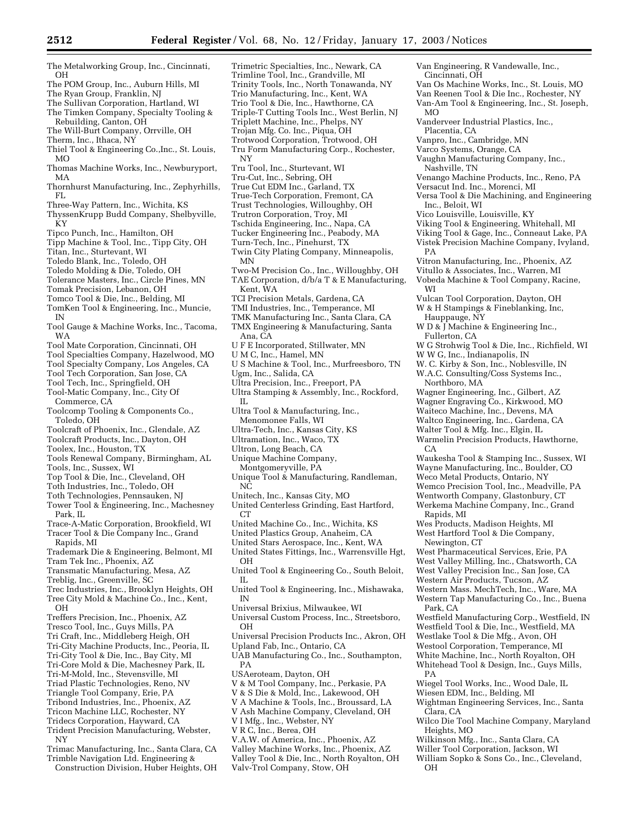- The Metalworking Group, Inc., Cincinnati, OH
- The POM Group, Inc., Auburn Hills, MI
- The Ryan Group, Franklin, NJ
- The Sullivan Corporation, Hartland, WI The Timken Company, Specialty Tooling & Rebuilding, Canton, OH
- The Will-Burt Company, Orrville, OH
- Therm, Inc., Ithaca, NY
- Thiel Tool & Engineering Co.,Inc., St. Louis,
- MO Thomas Machine Works, Inc., Newburyport,
- MA Thornhurst Manufacturing, Inc., Zephyrhills,
- FL Three-Way Pattern, Inc., Wichita, KS
- ThyssenKrupp Budd Company, Shelbyville, KY
- Tipco Punch, Inc., Hamilton, OH
- Tipp Machine & Tool, Inc., Tipp City, OH
- Titan, Inc., Sturtevant, WI
- Toledo Blank, Inc., Toledo, OH
- Toledo Molding & Die, Toledo, OH
- Tolerance Masters, Inc., Circle Pines, MN
- Tomak Precision, Lebanon, OH
- Tomco Tool & Die, Inc., Belding, MI
- TomKen Tool & Engineering, Inc., Muncie, IN
- Tool Gauge & Machine Works, Inc., Tacoma, WA
- Tool Mate Corporation, Cincinnati, OH
- Tool Specialties Company, Hazelwood, MO
- Tool Specialty Company, Los Angeles, CA
- Tool Tech Corporation, San Jose, CA
- Tool Tech, Inc., Springfield, OH
- Tool-Matic Company, Inc., City Of
- Commerce, CA Toolcomp Tooling & Components Co.,
- Toledo, OH
- Toolcraft of Phoenix, Inc., Glendale, AZ
- Toolcraft Products, Inc., Dayton, OH
- Toolex, Inc., Houston, TX
- Tools Renewal Company, Birmingham, AL Tools, Inc., Sussex, WI
- Top Tool & Die, Inc., Cleveland, OH
- Toth Industries, Inc., Toledo, OH
- Toth Technologies, Pennsauken, NJ
- Tower Tool & Engineering, Inc., Machesney Park, IL
- Trace-A-Matic Corporation, Brookfield, WI Tracer Tool & Die Company Inc., Grand Rapids, MI
- Trademark Die & Engineering, Belmont, MI
- Tram Tek Inc., Phoenix, AZ
- Transmatic Manufacturing, Mesa, AZ
- Treblig, Inc., Greenville, SC
- Trec Industries, Inc., Brooklyn Heights, OH
- Tree City Mold & Machine Co., Inc., Kent, OH
- Treffers Precision, Inc., Phoenix, AZ
- Tresco Tool, Inc., Guys Mills, PA
- Tri Craft, Inc., Middleberg Heigh, OH
- Tri-City Machine Products, Inc., Peoria, IL
- Tri-City Tool & Die, Inc., Bay City, MI
- Tri-Core Mold & Die, Machesney Park, IL
- Tri-M-Mold, Inc., Stevensville, MI
- Triad Plastic Technologies, Reno, NV
- Triangle Tool Company, Erie, PA
- Tribond Industries, Inc., Phoenix, AZ
- Tricon Machine LLC, Rochester, NY
- Tridecs Corporation, Hayward, CA
- Trident Precision Manufacturing, Webster, NY
- Trimac Manufacturing, Inc., Santa Clara, CA Trimble Navigation Ltd. Engineering &
- Construction Division, Huber Heights, OH

Trimetric Specialties, Inc., Newark, CA Trimline Tool, Inc., Grandville, MI Trinity Tools, Inc., North Tonawanda, NY Van Engineering, R Vandewalle, Inc.,

Vanderveer Industrial Plastics, Inc.,

Vaughn Manufacturing Company, Inc.,

Venango Machine Products, Inc., Reno, PA

Viking Tool & Engineering, Whitehall, MI Viking Tool & Gage, Inc., Conneaut Lake, PA Vistek Precision Machine Company, Ivyland,

Vitron Manufacturing, Inc., Phoenix, AZ Vitullo & Associates, Inc., Warren, MI Vobeda Machine & Tool Company, Racine,

Vulcan Tool Corporation, Dayton, OH W & H Stampings & Fineblanking, Inc,

W D & J Machine & Engineering Inc.,

W. C. Kirby & Son, Inc., Noblesville, IN W.A.C. Consulting/Coss Systems Inc.,

Wagner Engineering, Inc., Gilbert, AZ Wagner Engraving Co., Kirkwood, MO Waiteco Machine, Inc., Devens, MA Waltco Engineering, Inc., Gardena, CA Walter Tool & Mfg. Inc., Elgin, IL Warmelin Precision Products, Hawthorne,

W W G, Inc., Indianapolis, IN

W G Strohwig Tool & Die, Inc., Richfield, WI

Waukesha Tool & Stamping Inc., Sussex, WI Wayne Manufacturing, Inc., Boulder, CO Weco Metal Products, Ontario, NY Wemco Precision Tool, Inc., Meadville, PA Wentworth Company, Glastonbury, CT Werkema Machine Company, Inc., Grand

Wes Products, Madison Heights, MI West Hartford Tool & Die Company,

West Pharmaceutical Services, Erie, PA West Valley Milling, Inc., Chatsworth, CA West Valley Precision Inc., San Jose, CA Western Air Products, Tucson, AZ Western Mass. MechTech, Inc., Ware, MA Western Tap Manufacturing Co., Inc., Buena

Westfield Manufacturing Corp., Westfield, IN Westfield Tool & Die, Inc., Westfield, MA Westlake Tool & Die Mfg., Avon, OH Westool Corporation, Temperance, MI White Machine, Inc., North Royalton, OH Whitehead Tool & Design, Inc., Guys Mills,

Wiegel Tool Works, Inc., Wood Dale, IL Wiesen EDM, Inc., Belding, MI

Wilkinson Mfg., Inc., Santa Clara, CA Willer Tool Corporation, Jackson, WI William Sopko & Sons Co., Inc., Cleveland,

Wightman Engineering Services, Inc., Santa

Wilco Die Tool Machine Company, Maryland

Versa Tool & Die Machining, and Engineering

Vanpro, Inc., Cambridge, MN Varco Systems, Orange, CA

Versacut Ind. Inc., Morenci, MI

Vico Louisville, Louisville, KY

Van Os Machine Works, Inc., St. Louis, MO Van Reenen Tool & Die Inc., Rochester, NY Van-Am Tool & Engineering, Inc., St. Joseph,

Cincinnati, OH

Placentia, CA

Nashville, TN

Inc., Beloit, WI

Hauppauge, NY

Fullerton, CA

Northboro, MA

MO

PA

WI

CA

Rapids, MI

Park, CA

PA

OH

Clara, CA

Heights, MO

Newington, CT

- Trio Manufacturing, Inc., Kent, WA
- Trio Tool & Die, Inc., Hawthorne, CA Triple-T Cutting Tools Inc., West Berlin, NJ
- Triplett Machine, Inc., Phelps, NY
- Trojan Mfg. Co. Inc., Piqua, OH
- Trotwood Corporation, Trotwood, OH
- Tru Form Manufacturing Corp., Rochester, NY
- Tru Tool, Inc., Sturtevant, WI
- Tru-Cut, Inc., Sebring, OH
- True Cut EDM Inc., Garland, TX
- True-Tech Corporation, Fremont, CA
- Trust Technologies, Willoughby, OH
- Trutron Corporation, Troy, MI
- Tschida Engineering, Inc., Napa, CA
- Tucker Engineering Inc., Peabody, MA
- Turn-Tech, Inc., Pinehurst, TX
- Twin City Plating Company, Minneapolis,
- MN
- Two-M Precision Co., Inc., Willoughby, OH TAE Corporation, d/b/a T & E Manufacturing, Kent, WA
- 
- TCI Precision Metals, Gardena, CA
- TMI Industries, Inc., Temperance, MI
- TMK Manufacturing Inc., Santa Clara, CA TMX Engineering & Manufacturing, Santa
- Ana, CA
- U F E Incorporated, Stillwater, MN
- U M C, Inc., Hamel, MN
- U S Machine & Tool, Inc., Murfreesboro, TN
- Ugm, Inc., Salida, CA
- Ultra Precision, Inc., Freeport, PA
- Ultra Stamping & Assembly, Inc., Rockford, IL
- Ultra Tool & Manufacturing, Inc., Menomonee Falls, WI
- Ultra-Tech, Inc., Kansas City, KS
- Ultramation, Inc., Waco, TX
- Ultron, Long Beach, CA

OH

IL

IN

OH

PA

- Unique Machine Company,
- Montgomeryville, PA
- Unique Tool & Manufacturing, Randleman, N<sub>C</sub>
- Unitech, Inc., Kansas City, MO
- United Centerless Grinding, East Hartford, CT

United States Fittings, Inc., Warrensville Hgt,

United Tool & Engineering Co., South Beloit,

United Tool & Engineering, Inc., Mishawaka,

Universal Custom Process, Inc., Streetsboro,

Universal Precision Products Inc., Akron, OH

UAB Manufacturing Co., Inc., Southampton,

V & M Tool Company, Inc., Perkasie, PA V & S Die & Mold, Inc., Lakewood, OH V A Machine & Tools, Inc., Broussard, LA V Ash Machine Company, Cleveland, OH

V.A.W. of America, Inc., Phoenix, AZ Valley Machine Works, Inc., Phoenix, AZ Valley Tool & Die, Inc., North Royalton, OH

United Machine Co., Inc., Wichita, KS United Plastics Group, Anaheim, CA United Stars Aerospace, Inc., Kent, WA

Universal Brixius, Milwaukee, WI

Upland Fab, Inc., Ontario, CA

USAeroteam, Dayton, OH

V I Mfg., Inc., Webster, NY V R C, Inc., Berea, OH

Valv-Trol Company, Stow, OH